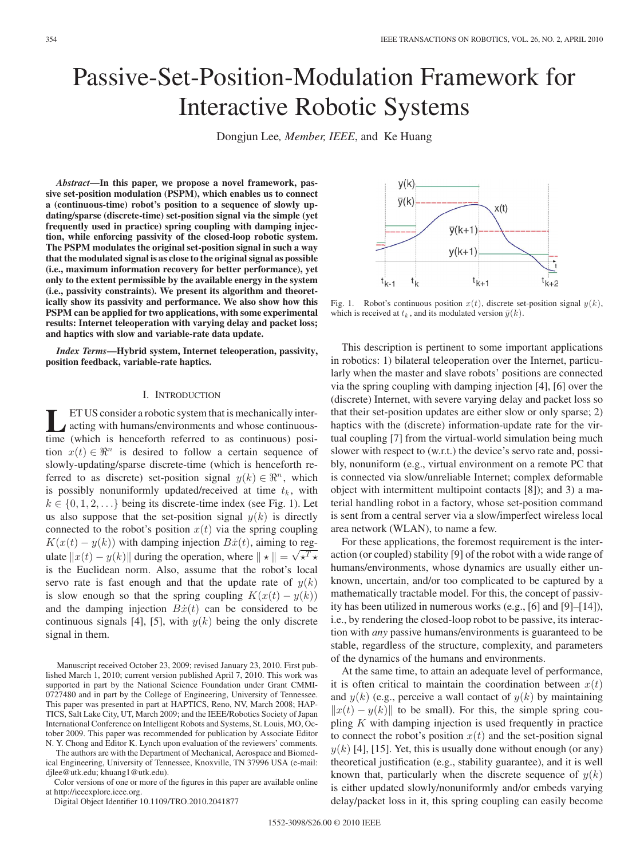# Passive-Set-Position-Modulation Framework for Interactive Robotic Systems

Dongjun Lee*, Member, IEEE*, and Ke Huang

*Abstract***—In this paper, we propose a novel framework, passive set-position modulation (PSPM), which enables us to connect a (continuous-time) robot's position to a sequence of slowly updating/sparse (discrete-time) set-position signal via the simple (yet frequently used in practice) spring coupling with damping injection, while enforcing passivity of the closed-loop robotic system. The PSPM modulates the original set-position signal in such a way that the modulated signal is as close to the original signal as possible (i.e., maximum information recovery for better performance), yet only to the extent permissible by the available energy in the system (i.e., passivity constraints). We present its algorithm and theoretically show its passivity and performance. We also show how this PSPM can be applied for two applications, with some experimental results: Internet teleoperation with varying delay and packet loss; and haptics with slow and variable-rate data update.**

*Index Terms***—Hybrid system, Internet teleoperation, passivity, position feedback, variable-rate haptics.**

# I. INTRODUCTION

**LET US** consider a robotic system that is mechanically inter-<br>acting with humans/environments and whose continuous-<br>time (which is hanceforth referred to as continuous) positime (which is henceforth referred to as continuous) position  $x(t) \in \mathbb{R}^n$  is desired to follow a certain sequence of slowly-updating/sparse discrete-time (which is henceforth referred to as discrete) set-position signal  $y(k) \in \mathbb{R}^n$ , which is possibly nonuniformly updated/received at time  $t_k$ , with  $k \in \{0, 1, 2, \ldots\}$  being its discrete-time index (see Fig. 1). Let us also suppose that the set-position signal  $y(k)$  is directly connected to the robot's position  $x(t)$  via the spring coupling  $K(x(t) - y(k))$  with damping injection  $B\dot{x}(t)$ , aiming to reg- $\mathbf{R}[x(t) - y(\kappa)]$  with damping injection  $\mathbf{D}[x(t)]$ , and  $\mathbf{E}[x(t)] = \sqrt{\kappa^T \kappa^T}$ is the Euclidean norm. Also, assume that the robot's local servo rate is fast enough and that the update rate of  $y(k)$ is slow enough so that the spring coupling  $K(x(t) - y(k))$ and the damping injection  $B\dot{x}(t)$  can be considered to be continuous signals [4], [5], with  $y(k)$  being the only discrete signal in them.

The authors are with the Department of Mechanical, Aerospace and Biomedical Engineering, University of Tennessee, Knoxville, TN 37996 USA (e-mail: djlee@utk.edu; khuang1@utk.edu).

Color versions of one or more of the figures in this paper are available online at http://ieeexplore.ieee.org.

Digital Object Identifier 10.1109/TRO.2010.2041877



Fig. 1. Robot's continuous position  $x(t)$ , discrete set-position signal  $y(k)$ , which is received at  $t_k$ , and its modulated version  $\bar{y}(k)$ .

This description is pertinent to some important applications in robotics: 1) bilateral teleoperation over the Internet, particularly when the master and slave robots' positions are connected via the spring coupling with damping injection [4], [6] over the (discrete) Internet, with severe varying delay and packet loss so that their set-position updates are either slow or only sparse; 2) haptics with the (discrete) information-update rate for the virtual coupling [7] from the virtual-world simulation being much slower with respect to (w.r.t.) the device's servo rate and, possibly, nonuniform (e.g., virtual environment on a remote PC that is connected via slow/unreliable Internet; complex deformable object with intermittent multipoint contacts [8]); and 3) a material handling robot in a factory, whose set-position command is sent from a central server via a slow/imperfect wireless local area network (WLAN), to name a few.

For these applications, the foremost requirement is the interaction (or coupled) stability [9] of the robot with a wide range of humans/environments, whose dynamics are usually either unknown, uncertain, and/or too complicated to be captured by a mathematically tractable model. For this, the concept of passivity has been utilized in numerous works (e.g., [6] and [9]–[14]), i.e., by rendering the closed-loop robot to be passive, its interaction with *any* passive humans/environments is guaranteed to be stable, regardless of the structure, complexity, and parameters of the dynamics of the humans and environments.

At the same time, to attain an adequate level of performance, it is often critical to maintain the coordination between  $x(t)$ and  $y(k)$  (e.g., perceive a wall contact of  $y(k)$  by maintaining  $||x(t) - y(k)||$  to be small). For this, the simple spring coupling  $K$  with damping injection is used frequently in practice to connect the robot's position  $x(t)$  and the set-position signal  $y(k)$  [4], [15]. Yet, this is usually done without enough (or any) theoretical justification (e.g., stability guarantee), and it is well known that, particularly when the discrete sequence of  $y(k)$ is either updated slowly/nonuniformly and/or embeds varying delay/packet loss in it, this spring coupling can easily become

Manuscript received October 23, 2009; revised January 23, 2010. First published March 1, 2010; current version published April 7, 2010. This work was supported in part by the National Science Foundation under Grant CMMI-0727480 and in part by the College of Engineering, University of Tennessee. This paper was presented in part at HAPTICS, Reno, NV, March 2008; HAP-TICS, Salt Lake City, UT, March 2009; and the IEEE/Robotics Society of Japan International Conference on Intelligent Robots and Systems, St. Louis, MO, October 2009. This paper was recommended for publication by Associate Editor N. Y. Chong and Editor K. Lynch upon evaluation of the reviewers' comments.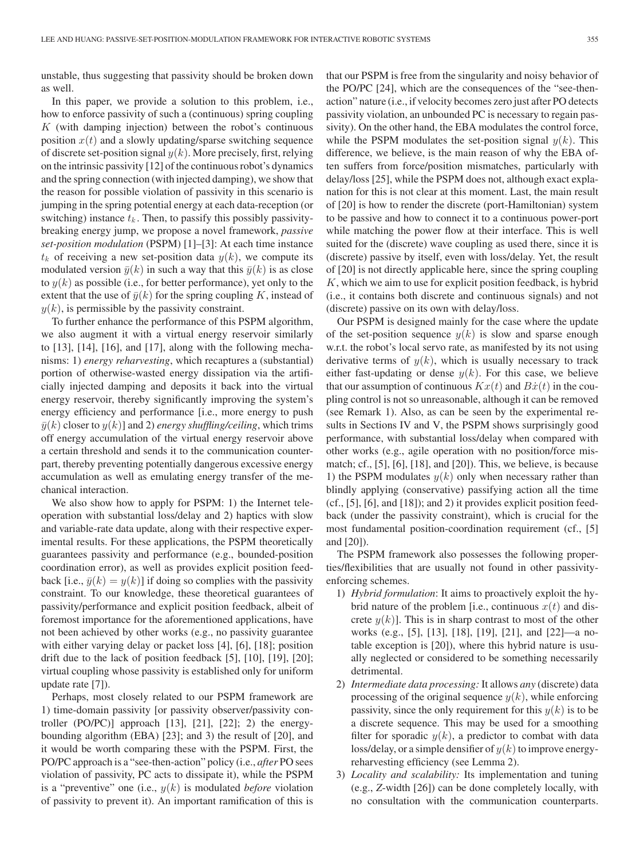unstable, thus suggesting that passivity should be broken down as well.

In this paper, we provide a solution to this problem, i.e., how to enforce passivity of such a (continuous) spring coupling K (with damping injection) between the robot's continuous position  $x(t)$  and a slowly updating/sparse switching sequence of discrete set-position signal  $y(k)$ . More precisely, first, relying on the intrinsic passivity [12] of the continuous robot's dynamics and the spring connection (with injected damping), we show that the reason for possible violation of passivity in this scenario is jumping in the spring potential energy at each data-reception (or switching) instance  $t_k$ . Then, to passify this possibly passivitybreaking energy jump, we propose a novel framework, *passive set-position modulation* (PSPM) [1]–[3]: At each time instance  $t_k$  of receiving a new set-position data  $y(k)$ , we compute its modulated version  $\bar{y}(k)$  in such a way that this  $\bar{y}(k)$  is as close to  $y(k)$  as possible (i.e., for better performance), yet only to the extent that the use of  $\bar{y}(k)$  for the spring coupling K, instead of  $y(k)$ , is permissible by the passivity constraint.

To further enhance the performance of this PSPM algorithm, we also augment it with a virtual energy reservoir similarly to [13], [14], [16], and [17], along with the following mechanisms: 1) *energy reharvesting*, which recaptures a (substantial) portion of otherwise-wasted energy dissipation via the artificially injected damping and deposits it back into the virtual energy reservoir, thereby significantly improving the system's energy efficiency and performance [i.e., more energy to push  $\bar{y}(k)$  closer to  $y(k)$ ] and 2) *energy shuffling/ceiling*, which trims off energy accumulation of the virtual energy reservoir above a certain threshold and sends it to the communication counterpart, thereby preventing potentially dangerous excessive energy accumulation as well as emulating energy transfer of the mechanical interaction.

We also show how to apply for PSPM: 1) the Internet teleoperation with substantial loss/delay and 2) haptics with slow and variable-rate data update, along with their respective experimental results. For these applications, the PSPM theoretically guarantees passivity and performance (e.g., bounded-position coordination error), as well as provides explicit position feedback [i.e.,  $\bar{y}(k) = y(k)$ ] if doing so complies with the passivity constraint. To our knowledge, these theoretical guarantees of passivity/performance and explicit position feedback, albeit of foremost importance for the aforementioned applications, have not been achieved by other works (e.g., no passivity guarantee with either varying delay or packet loss [4], [6], [18]; position drift due to the lack of position feedback [5], [10], [19], [20]; virtual coupling whose passivity is established only for uniform update rate [7]).

Perhaps, most closely related to our PSPM framework are 1) time-domain passivity [or passivity observer/passivity controller  $(PO/PC)$ ] approach  $[13]$ ,  $[21]$ ,  $[22]$ ; 2) the energybounding algorithm (EBA) [23]; and 3) the result of [20], and it would be worth comparing these with the PSPM. First, the PO/PC approach is a "see-then-action" policy (i.e., *after* PO sees violation of passivity, PC acts to dissipate it), while the PSPM is a "preventive" one (i.e.,  $y(k)$  is modulated *before* violation of passivity to prevent it). An important ramification of this is that our PSPM is free from the singularity and noisy behavior of the PO/PC [24], which are the consequences of the "see-thenaction" nature (i.e., if velocity becomes zero just after PO detects passivity violation, an unbounded PC is necessary to regain passivity). On the other hand, the EBA modulates the control force, while the PSPM modulates the set-position signal  $y(k)$ . This difference, we believe, is the main reason of why the EBA often suffers from force/position mismatches, particularly with delay/loss [25], while the PSPM does not, although exact explanation for this is not clear at this moment. Last, the main result of [20] is how to render the discrete (port-Hamiltonian) system to be passive and how to connect it to a continuous power-port while matching the power flow at their interface. This is well suited for the (discrete) wave coupling as used there, since it is (discrete) passive by itself, even with loss/delay. Yet, the result of [20] is not directly applicable here, since the spring coupling  $K$ , which we aim to use for explicit position feedback, is hybrid (i.e., it contains both discrete and continuous signals) and not (discrete) passive on its own with delay/loss.

Our PSPM is designed mainly for the case where the update of the set-position sequence  $y(k)$  is slow and sparse enough w.r.t. the robot's local servo rate, as manifested by its not using derivative terms of  $y(k)$ , which is usually necessary to track either fast-updating or dense  $y(k)$ . For this case, we believe that our assumption of continuous  $Kx(t)$  and  $B\dot{x}(t)$  in the coupling control is not so unreasonable, although it can be removed (see Remark 1). Also, as can be seen by the experimental results in Sections IV and V, the PSPM shows surprisingly good performance, with substantial loss/delay when compared with other works (e.g., agile operation with no position/force mismatch; cf., [5], [6], [18], and [20]). This, we believe, is because 1) the PSPM modulates  $y(k)$  only when necessary rather than blindly applying (conservative) passifying action all the time (cf., [5], [6], and [18]); and 2) it provides explicit position feedback (under the passivity constraint), which is crucial for the most fundamental position-coordination requirement (cf., [5] and [20]).

The PSPM framework also possesses the following properties/flexibilities that are usually not found in other passivityenforcing schemes.

- 1) *Hybrid formulation*: It aims to proactively exploit the hybrid nature of the problem [i.e., continuous  $x(t)$  and discrete  $y(k)$ . This is in sharp contrast to most of the other works (e.g., [5], [13], [18], [19], [21], and [22]—a notable exception is [20]), where this hybrid nature is usually neglected or considered to be something necessarily detrimental.
- 2) *Intermediate data processing:* It allows *any* (discrete) data processing of the original sequence  $y(k)$ , while enforcing passivity, since the only requirement for this  $y(k)$  is to be a discrete sequence. This may be used for a smoothing filter for sporadic  $y(k)$ , a predictor to combat with data loss/delay, or a simple densifier of  $y(k)$  to improve energyreharvesting efficiency (see Lemma 2).
- 3) *Locality and scalability:* Its implementation and tuning (e.g., *Z*-width [26]) can be done completely locally, with no consultation with the communication counterparts.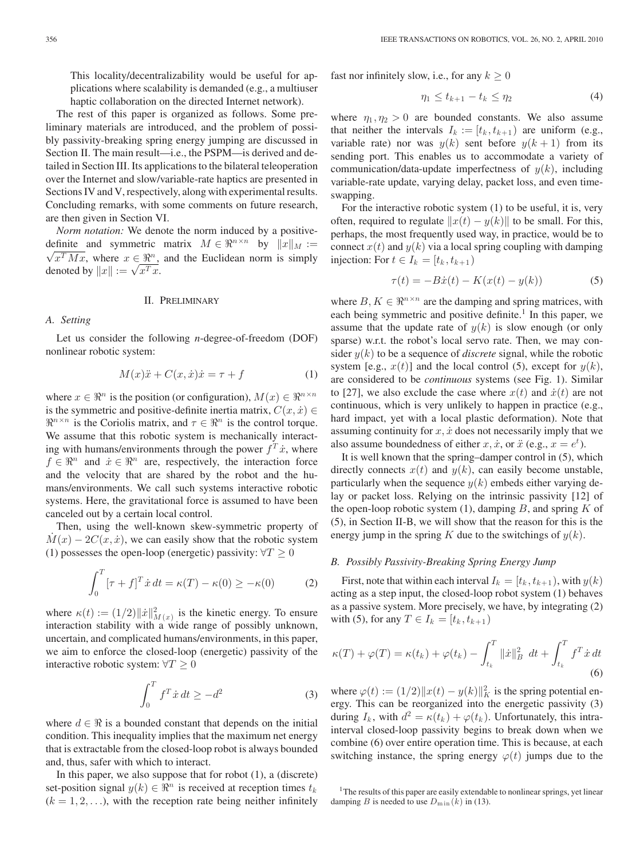This locality/decentralizability would be useful for applications where scalability is demanded (e.g., a multiuser haptic collaboration on the directed Internet network).

The rest of this paper is organized as follows. Some preliminary materials are introduced, and the problem of possibly passivity-breaking spring energy jumping are discussed in Section II. The main result—i.e., the PSPM—is derived and detailed in Section III. Its applications to the bilateral teleoperation over the Internet and slow/variable-rate haptics are presented in Sections IV and V, respectively, along with experimental results. Concluding remarks, with some comments on future research, are then given in Section VI.

*Norm notation:* We denote the norm induced by a positivedefinite and symmetric matrix  $M \in \mathbb{R}^{n \times n}$  by  $||x||_M :=$  $x^T M x$ , where  $x \in \mathbb{R}^n$ , and the Euclidean norm is simply  $\forall x^2 Mx$ , where  $x \in \mathbb{R}^n$ ,<br>denoted by  $||x|| := \sqrt{x^T x}$ .

### II. PRELIMINARY

*A. Setting*

Let us consider the following *n*-degree-of-freedom (DOF) nonlinear robotic system:

$$
M(x)\ddot{x} + C(x, \dot{x})\dot{x} = \tau + f \tag{1}
$$

where  $x \in \mathbb{R}^n$  is the position (or configuration),  $M(x) \in \mathbb{R}^{n \times n}$ is the symmetric and positive-definite inertia matrix,  $C(x, \dot{x}) \in$  $\mathbb{R}^{n \times n}$  is the Coriolis matrix, and  $\tau \in \mathbb{R}^n$  is the control torque. We assume that this robotic system is mechanically interacting with humans/environments through the power  $f^T \dot{x}$ , where  $f \in \mathbb{R}^n$  and  $\dot{x} \in \mathbb{R}^n$  are, respectively, the interaction force and the velocity that are shared by the robot and the humans/environments. We call such systems interactive robotic systems. Here, the gravitational force is assumed to have been canceled out by a certain local control.

Then, using the well-known skew-symmetric property of  $M(x) - 2C(x, \dot{x})$ , we can easily show that the robotic system (1) possesses the open-loop (energetic) passivity:  $\forall T \geq 0$ 

$$
\int_0^T \left[\tau + f\right]^T \dot{x} \, dt = \kappa(T) - \kappa(0) \geq -\kappa(0) \tag{2}
$$

where  $\kappa(t) := (1/2) ||\dot{x}||^2_{M(x)}$  is the kinetic energy. To ensure interaction stability with a wide range of possibly unknown, uncertain, and complicated humans/environments, in this paper, we aim to enforce the closed-loop (energetic) passivity of the interactive robotic system:  $\forall T \geq 0$ 

$$
\int_0^T f^T \dot{x} \, dt \ge -d^2 \tag{3}
$$

where  $d \in \Re$  is a bounded constant that depends on the initial condition. This inequality implies that the maximum net energy that is extractable from the closed-loop robot is always bounded and, thus, safer with which to interact.

In this paper, we also suppose that for robot  $(1)$ , a  $(discrete)$ set-position signal  $y(k) \in \mathbb{R}^n$  is received at reception times  $t_k$  $(k = 1, 2, \ldots)$ , with the reception rate being neither infinitely

fast nor infinitely slow, i.e., for any  $k \geq 0$ 

$$
\eta_1 \le t_{k+1} - t_k \le \eta_2 \tag{4}
$$

where  $\eta_1, \eta_2 > 0$  are bounded constants. We also assume that neither the intervals  $I_k := [t_k, t_{k+1})$  are uniform (e.g., variable rate) nor was  $y(k)$  sent before  $y(k + 1)$  from its sending port. This enables us to accommodate a variety of communication/data-update imperfectness of  $y(k)$ , including variable-rate update, varying delay, packet loss, and even timeswapping.

For the interactive robotic system (1) to be useful, it is, very often, required to regulate  $||x(t) - y(k)||$  to be small. For this, perhaps, the most frequently used way, in practice, would be to connect  $x(t)$  and  $y(k)$  via a local spring coupling with damping injection: For  $t \in I_k = [t_k, t_{k+1})$ 

$$
\tau(t) = -B\dot{x}(t) - K(x(t) - y(k))
$$
\n(5)

where  $B, K \in \mathbb{R}^{n \times n}$  are the damping and spring matrices, with each being symmetric and positive definite.<sup>1</sup> In this paper, we assume that the update rate of  $y(k)$  is slow enough (or only sparse) w.r.t. the robot's local servo rate. Then, we may consider  $y(k)$  to be a sequence of *discrete* signal, while the robotic system [e.g.,  $x(t)$ ] and the local control (5), except for  $y(k)$ , are considered to be *continuous* systems (see Fig. 1). Similar to [27], we also exclude the case where  $x(t)$  and  $\dot{x}(t)$  are not continuous, which is very unlikely to happen in practice (e.g., hard impact, yet with a local plastic deformation). Note that assuming continuity for  $x, \dot{x}$  does not necessarily imply that we also assume boundedness of either x,  $\dot{x}$ , or  $\ddot{x}$  (e.g.,  $x = e^t$ ).

It is well known that the spring–damper control in (5), which directly connects  $x(t)$  and  $y(k)$ , can easily become unstable, particularly when the sequence  $y(k)$  embeds either varying delay or packet loss. Relying on the intrinsic passivity [12] of the open-loop robotic system  $(1)$ , damping B, and spring K of (5), in Section II-B, we will show that the reason for this is the energy jump in the spring K due to the switchings of  $y(k)$ .

#### *B. Possibly Passivity-Breaking Spring Energy Jump*

First, note that within each interval  $I_k = [t_k, t_{k+1})$ , with  $y(k)$ acting as a step input, the closed-loop robot system (1) behaves as a passive system. More precisely, we have, by integrating (2) with (5), for any  $T \in I_k = [t_k, t_{k+1})$ 

$$
\kappa(T) + \varphi(T) = \kappa(t_k) + \varphi(t_k) - \int_{t_k}^T ||\dot{x}||_B^2 dt + \int_{t_k}^T f^T \dot{x} dt
$$
\n(6)

where  $\varphi(t) := (1/2) ||x(t) - y(k)||_K^2$  is the spring potential energy. This can be reorganized into the energetic passivity (3) during  $I_k$ , with  $d^2 = \kappa(t_k) + \varphi(t_k)$ . Unfortunately, this intrainterval closed-loop passivity begins to break down when we combine (6) over entire operation time. This is because, at each switching instance, the spring energy  $\varphi(t)$  jumps due to the

<sup>&</sup>lt;sup>1</sup>The results of this paper are easily extendable to nonlinear springs, yet linear damping B is needed to use  $D_{\min}(k)$  in (13).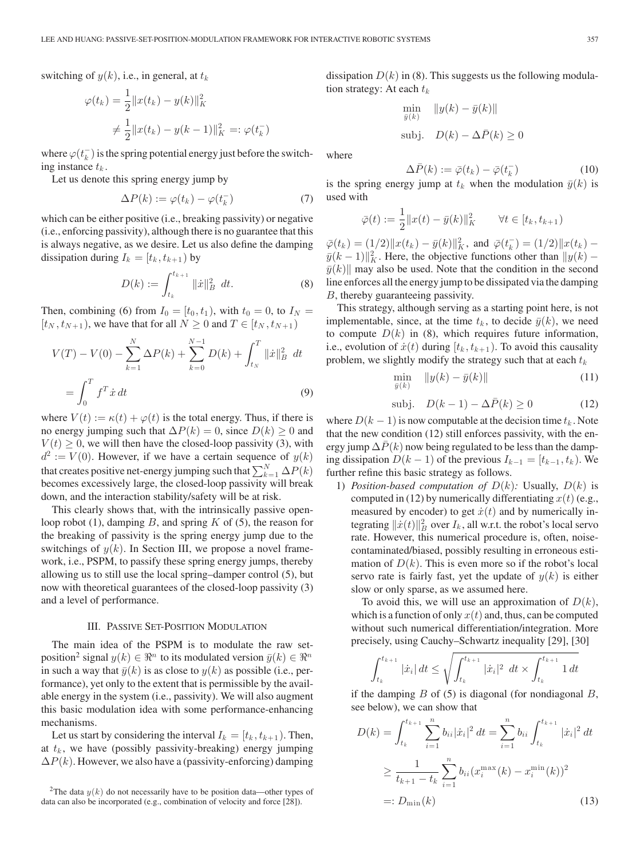$$
\varphi(t_k) = \frac{1}{2} ||x(t_k) - y(k)||_K^2
$$
  

$$
\neq \frac{1}{2} ||x(t_k) - y(k-1)||_K^2 =: \varphi(t_k^-)
$$

where  $\varphi(t_k^-)$  is the spring potential energy just before the switching instance  $t_k$ .

Let us denote this spring energy jump by

$$
\Delta P(k) := \varphi(t_k) - \varphi(t_k^-) \tag{7}
$$

which can be either positive (i.e., breaking passivity) or negative (i.e., enforcing passivity), although there is no guarantee that this is always negative, as we desire. Let us also define the damping dissipation during  $I_k = [t_k, t_{k+1}]$  by

$$
D(k) := \int_{t_k}^{t_{k+1}} ||\dot{x}||_B^2 dt.
$$
 (8)

Then, combining (6) from  $I_0 = [t_0, t_1)$ , with  $t_0 = 0$ , to  $I_N =$  $[t_N, t_{N+1})$ , we have that for all  $N \geq 0$  and  $T \in [t_N, t_{N+1})$ 

$$
V(T) - V(0) - \sum_{k=1}^{N} \Delta P(k) + \sum_{k=0}^{N-1} D(k) + \int_{t_N}^{T} ||\dot{x}||_B^2 dt
$$
  
= 
$$
\int_0^T f^T \dot{x} dt
$$
 (9)

where  $V(t) := \kappa(t) + \varphi(t)$  is the total energy. Thus, if there is no energy jumping such that  $\Delta P(k)=0$ , since  $D(k) \geq 0$  and  $V(t) \geq 0$ , we will then have the closed-loop passivity (3), with  $d^2 := V(0)$ . However, if we have a certain sequence of  $y(k)$ that creates positive net-energy jumping such that  $\sum_{k=1}^{N} \Delta P(k)$ becomes excessively large, the closed-loop passivity will break down, and the interaction stability/safety will be at risk.

This clearly shows that, with the intrinsically passive openloop robot (1), damping  $B$ , and spring  $K$  of (5), the reason for the breaking of passivity is the spring energy jump due to the switchings of  $y(k)$ . In Section III, we propose a novel framework, i.e., PSPM, to passify these spring energy jumps, thereby allowing us to still use the local spring–damper control (5), but now with theoretical guarantees of the closed-loop passivity (3) and a level of performance.

# III. PASSIVE SET-POSITION MODULATION

The main idea of the PSPM is to modulate the raw setposition<sup>2</sup> signal  $y(k) \in \mathbb{R}^n$  to its modulated version  $\bar{y}(k) \in \mathbb{R}^n$ in such a way that  $\bar{y}(k)$  is as close to  $y(k)$  as possible (i.e., performance), yet only to the extent that is permissible by the available energy in the system (i.e., passivity). We will also augment this basic modulation idea with some performance-enhancing mechanisms.

Let us start by considering the interval  $I_k = [t_k, t_{k+1})$ . Then, at  $t_k$ , we have (possibly passivity-breaking) energy jumping  $\Delta P(k)$ . However, we also have a (passivity-enforcing) damping dissipation  $D(k)$  in (8). This suggests us the following modulation strategy: At each  $t_k$ 

$$
\min_{\bar{y}(k)} \|y(k) - \bar{y}(k)\|
$$
\n
$$
\text{subj.} \quad D(k) - \Delta \bar{P}(k) \ge 0
$$

where

$$
\Delta \bar{P}(k) := \bar{\varphi}(t_k) - \bar{\varphi}(t_k^-)
$$
\n(10)

is the spring energy jump at  $t_k$  when the modulation  $\bar{y}(k)$  is used with

$$
\bar{\varphi}(t) := \frac{1}{2} ||x(t) - \bar{y}(k)||_K^2 \qquad \forall t \in [t_k, t_{k+1})
$$

 $\overline{\varphi}(t_k) = (1/2) \|x(t_k) - \overline{y}(k)\|_K^2$ , and  $\overline{\varphi}(t_k^-) = (1/2) \|x(t_k) \bar{y}(k-1)\|_K^2$ . Here, the objective functions other than  $\|y(k)-\|_K^2$  $\bar{y}(k)$  may also be used. Note that the condition in the second line enforces all the energy jump to be dissipated via the damping B, thereby guaranteeing passivity.

This strategy, although serving as a starting point here, is not implementable, since, at the time  $t_k$ , to decide  $\bar{y}(k)$ , we need to compute  $D(k)$  in (8), which requires future information, i.e., evolution of  $\dot{x}(t)$  during  $[t_k, t_{k+1})$ . To avoid this causality problem, we slightly modify the strategy such that at each  $t_k$ 

$$
\min_{\bar{y}(k)} \quad \|y(k) - \bar{y}(k)\| \tag{11}
$$

$$
subj. \quad D(k-1) - \Delta \bar{P}(k) \ge 0 \tag{12}
$$

where  $D(k-1)$  is now computable at the decision time  $t_k$ . Note that the new condition (12) still enforces passivity, with the energy jump  $\Delta \bar{P}(k)$  now being regulated to be less than the damping dissipation  $D(k-1)$  of the previous  $I_{k-1} = [t_{k-1}, t_k)$ . We further refine this basic strategy as follows.

1) *Position-based computation of*  $D(k)$ : Usually,  $D(k)$  is computed in (12) by numerically differentiating  $x(t)$  (e.g., measured by encoder) to get  $\dot{x}(t)$  and by numerically integrating  $\|\dot{x}(t)\|_B^2$  over  $I_k$ , all w.r.t. the robot's local servo rate. However, this numerical procedure is, often, noisecontaminated/biased, possibly resulting in erroneous estimation of  $D(k)$ . This is even more so if the robot's local servo rate is fairly fast, yet the update of  $y(k)$  is either slow or only sparse, as we assumed here.

To avoid this, we will use an approximation of  $D(k)$ , which is a function of only  $x(t)$  and, thus, can be computed without such numerical differentiation/integration. More precisely, using Cauchy–Schwartz inequality [29], [30]

$$
\int_{t_k}^{t_{k+1}} |\dot{x}_i| dt \le \sqrt{\int_{t_k}^{t_{k+1}} |\dot{x}_i|^2 dt} \times \int_{t_k}^{t_{k+1}} 1 dt
$$

if the damping  $B$  of (5) is diagonal (for nondiagonal  $B$ , see below), we can show that

$$
D(k) = \int_{t_k}^{t_{k+1}} \sum_{i=1}^{n} b_{ii} |\dot{x}_i|^2 dt = \sum_{i=1}^{n} b_{ii} \int_{t_k}^{t_{k+1}} |\dot{x}_i|^2 dt
$$
  
\n
$$
\geq \frac{1}{t_{k+1} - t_k} \sum_{i=1}^{n} b_{ii} (x_i^{\max}(k) - x_i^{\min}(k))^2
$$
  
\n
$$
=: D_{\min}(k)
$$
 (13)

<sup>&</sup>lt;sup>2</sup>The data  $y(k)$  do not necessarily have to be position data—other types of data can also be incorporated (e.g., combination of velocity and force [28]).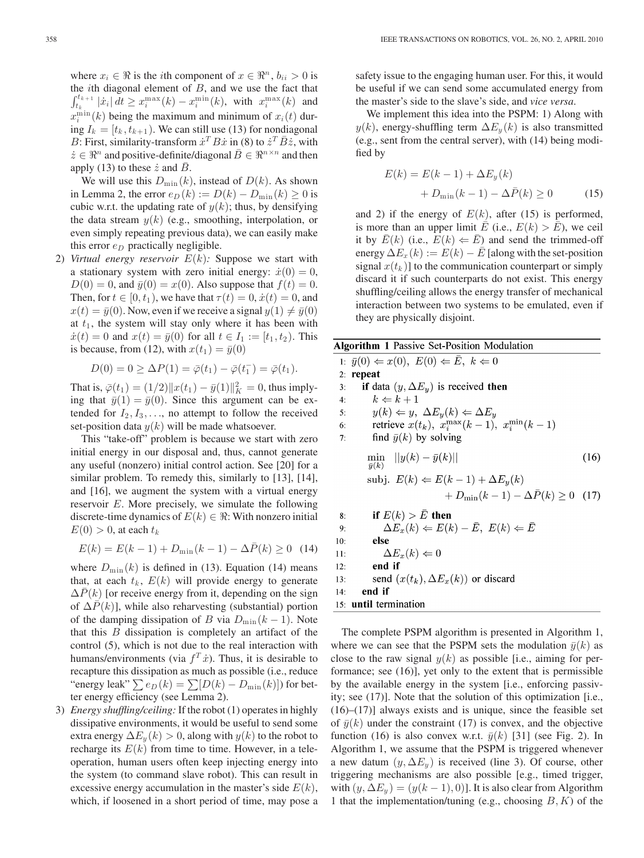where  $x_i \in \Re$  is the *i*th component of  $x \in \Re^n$ ,  $b_{ii} > 0$  is the *i*th diagonal element of  $B$ , and we use the fact that  $\int_{t_k}^{t_{k+1}} |\dot{x}_i| dt \geq x_i^{\max}(k) - x_i^{\min}(k)$ , with  $x_i^{\max}(k)$  and  $x_i^{\min}(k)$  being the maximum and minimum of  $x_i(t)$  during  $I_k = [t_k, t_{k+1})$ . We can still use (13) for nondiagonal B: First, similarity-transform  $\dot{x}^T B \dot{x}$  in (8) to  $\dot{z}^T \bar{B} \dot{z}$ , with  $\dot{z} \in \Re^n$  and positive-definite/diagonal  $\bar{B} \in \Re^{n \times n}$  and then apply (13) to these  $\dot{z}$  and  $B$ .

We will use this  $D_{\min}(k)$ , instead of  $D(k)$ . As shown in Lemma 2, the error  $e_D(k) := D(k) - D_{\min}(k) \ge 0$  is cubic w.r.t. the updating rate of  $y(k)$ ; thus, by densifying the data stream  $y(k)$  (e.g., smoothing, interpolation, or even simply repeating previous data), we can easily make this error  $e_D$  practically negligible.

2) *Virtual energy reservoir*  $E(k)$ : Suppose we start with a stationary system with zero initial energy:  $\dot{x}(0) = 0$ ,  $D(0) = 0$ , and  $\bar{y}(0) = x(0)$ . Also suppose that  $f(t) = 0$ . Then, for  $t \in [0, t_1)$ , we have that  $\tau(t)=0, \dot{x}(t)=0$ , and  $x(t)=\bar{y}(0)$ . Now, even if we receive a signal  $y(1) \neq \bar{y}(0)$ at  $t_1$ , the system will stay only where it has been with  $\dot{x}(t)=0$  and  $x(t)=\bar{y}(0)$  for all  $t \in I_1 := [t_1, t_2)$ . This is because, from (12), with  $x(t_1) = \bar{y}(0)$ 

$$
D(0) = 0 \ge \Delta P(1) = \bar{\varphi}(t_1) - \bar{\varphi}(t_1^-) = \bar{\varphi}(t_1).
$$

That is,  $\bar{\varphi}(t_1) = (1/2) ||x(t_1) - \bar{y}(1)||_K^2 = 0$ , thus implying that  $\bar{y}(1) = \bar{y}(0)$ . Since this argument can be extended for  $I_2, I_3, \ldots$ , no attempt to follow the received set-position data  $y(k)$  will be made whatsoever.

This "take-off" problem is because we start with zero initial energy in our disposal and, thus, cannot generate any useful (nonzero) initial control action. See [20] for a similar problem. To remedy this, similarly to [13], [14], and [16], we augment the system with a virtual energy reservoir E. More precisely, we simulate the following discrete-time dynamics of  $E(k) \in \Re$ : With nonzero initial  $E(0) > 0$ , at each  $t_k$ 

$$
E(k) = E(k-1) + D_{\min}(k-1) - \Delta \bar{P}(k) \ge 0 \quad (14)
$$

where  $D_{\min}(k)$  is defined in (13). Equation (14) means that, at each  $t_k$ ,  $E(k)$  will provide energy to generate  $\Delta P(k)$  [or receive energy from it, depending on the sign of  $\Delta P(k)$ ], while also reharvesting (substantial) portion of the damping dissipation of B via  $D_{\min}(k-1)$ . Note that this  $B$  dissipation is completely an artifact of the control (5), which is not due to the real interaction with humans/environments (via  $f^T \dot{x}$ ). Thus, it is desirable to recapture this dissipation as much as possible (i.e., reduce "energy leak"  $\sum e_D(k) = \sum [D(k) - D_{\min}(k)]$  for better energy efficiency (see Lemma 2).

3) *Energy shuffling/ceiling:* If the robot (1) operates in highly dissipative environments, it would be useful to send some extra energy  $\Delta E_y(k) > 0$ , along with  $y(k)$  to the robot to recharge its  $E(k)$  from time to time. However, in a teleoperation, human users often keep injecting energy into the system (to command slave robot). This can result in excessive energy accumulation in the master's side  $E(k)$ , which, if loosened in a short period of time, may pose a safety issue to the engaging human user. For this, it would be useful if we can send some accumulated energy from the master's side to the slave's side, and *vice versa*.

We implement this idea into the PSPM: 1) Along with  $y(k)$ , energy-shuffling term  $\Delta E_y(k)$  is also transmitted (e.g., sent from the central server), with (14) being modified by

$$
E(k) = E(k-1) + \Delta E_y(k)
$$

$$
+ D_{\min}(k-1) - \Delta \bar{P}(k) \ge 0 \tag{15}
$$

and 2) if the energy of  $E(k)$ , after (15) is performed, is more than an upper limit  $\overline{E}$  (i.e.,  $E(k) > \overline{E}$ ), we ceil it by  $E(k)$  (i.e.,  $E(k) \leftarrow E$ ) and send the trimmed-off energy  $\Delta E_x(k) := E(k) - E$  [along with the set-position signal  $x(t_k)$ ] to the communication counterpart or simply discard it if such counterparts do not exist. This energy shuffling/ceiling allows the energy transfer of mechanical interaction between two systems to be emulated, even if they are physically disjoint.

**Algorithm 1 Passive Set-Position Modulation** 1:  $\bar{y}(0) \Leftarrow x(0), E(0) \Leftarrow \bar{E}, k \Leftarrow 0$  $2:$  repeat if data  $(y, \Delta E_y)$  is received then  $3:$  $4:$  $k \Leftarrow k+1$  $\begin{array}{l} y(k) \Leftarrow y, \ \Delta E_y(k) \Leftarrow \Delta E_y \\ \text{retrieve} \ x(t_k), \ x_i^{\max}(k-1), \ x_i^{\min}(k-1) \end{array}$  $5:$ 6:  $7:$ find  $\bar{y}(k)$  by solving  $\min_{x \in \mathbb{R}^N}$   $||y(k) - \bar{y}(k)||$  $(16)$  $\bar{y}(k)$ subj.  $E(k) \Leftarrow E(k-1) + \Delta E_y(k)$ +  $D_{\min}(k-1) - \Delta \bar{P}(k) \ge 0$  (17) if  $E(k) > E$  then  $8:$  $\Delta E_x(k) \Leftarrow E(k) - \bar{E}, E(k) \Leftarrow \bar{E}$ 9: else  $10:$  $\Delta E_x(k) \Leftarrow 0$  $11:$  $12:$ end if send  $(x(t_k), \Delta E_x(k))$  or discard  $13:$  $14:$ end if 15: until termination

The complete PSPM algorithm is presented in Algorithm 1, where we can see that the PSPM sets the modulation  $\bar{y}(k)$  as close to the raw signal  $y(k)$  as possible [i.e., aiming for performance; see (16)], yet only to the extent that is permissible by the available energy in the system [i.e., enforcing passivity; see (17)]. Note that the solution of this optimization [i.e.,  $(16)$ – $(17)$ ] always exists and is unique, since the feasible set of  $\bar{y}(k)$  under the constraint (17) is convex, and the objective function (16) is also convex w.r.t.  $\bar{y}(k)$  [31] (see Fig. 2). In Algorithm 1, we assume that the PSPM is triggered whenever a new datum  $(y, \Delta E_y)$  is received (line 3). Of course, other triggering mechanisms are also possible [e.g., timed trigger, with  $(y, \Delta E_y) = (y(k - 1), 0)$ . It is also clear from Algorithm 1 that the implementation/tuning (e.g., choosing  $B, K$ ) of the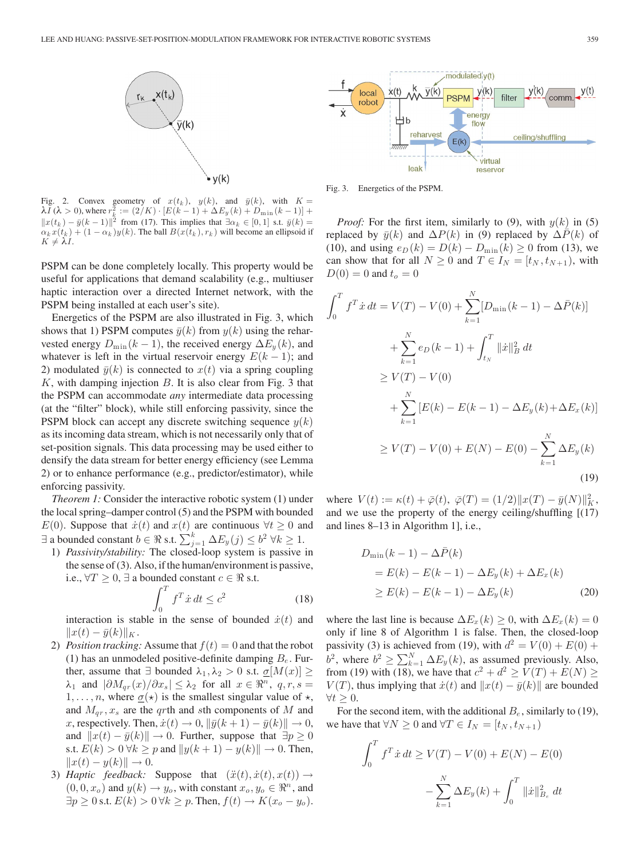

Fig. 2. Convex geometry of  $x(t_k)$ ,  $y(k)$ , and  $\bar{y}(k)$ , with  $K = \lambda I(\lambda > 0)$ , where  $r_k^2 := (2/K) \cdot [E(k-1) + \Delta E_y(k) + D_{\min}(k-1)] +$  $||x(t_k) - \bar{y}(k-1)||^2$  from (17). This implies that  $\exists \alpha_k \in [0,1]$  s.t.  $\bar{y}(k) =$  $\alpha_k x(t_k) + (1 - \alpha_k) y(k)$ . The ball  $B(x(t_k), r_k)$  will become an ellipsoid if  $K \neq \lambda I$ .

PSPM can be done completely locally. This property would be useful for applications that demand scalability (e.g., multiuser haptic interaction over a directed Internet network, with the PSPM being installed at each user's site).

Energetics of the PSPM are also illustrated in Fig. 3, which shows that 1) PSPM computes  $\bar{y}(k)$  from  $y(k)$  using the reharvested energy  $D_{\min}(k-1)$ , the received energy  $\Delta E_y(k)$ , and whatever is left in the virtual reservoir energy  $E(k-1)$ ; and 2) modulated  $\bar{y}(k)$  is connected to  $x(t)$  via a spring coupling  $K$ , with damping injection  $B$ . It is also clear from Fig. 3 that the PSPM can accommodate *any* intermediate data processing (at the "filter" block), while still enforcing passivity, since the PSPM block can accept any discrete switching sequence  $y(k)$ as its incoming data stream, which is not necessarily only that of set-position signals. This data processing may be used either to densify the data stream for better energy efficiency (see Lemma 2) or to enhance performance (e.g., predictor/estimator), while enforcing passivity.

*Theorem 1:* Consider the interactive robotic system (1) under the local spring–damper control (5) and the PSPM with bounded E(0). Suppose that  $\dot{x}(t)$  and  $x(t)$  are continuous  $\forall t \geq 0$  and  $\exists$  a bounded constant  $b \in \Re$  s.t.  $\sum_{j=1}^k \Delta E_y(j) \leq b^2 \ \forall k \geq 1$ .

1) *Passivity/stability:* The closed-loop system is passive in the sense of (3). Also, if the human/environment is passive, i.e.,  $\forall T \geq 0, \exists$  a bounded constant  $c \in \Re$  s.t.

$$
\int_0^T f^T \dot{x} \, dt \le c^2 \tag{18}
$$

interaction is stable in the sense of bounded  $\dot{x}(t)$  and  $||x(t) - \bar{y}(k)||_K$ .

- 2) *Position tracking:* Assume that  $f(t)=0$  and that the robot (1) has an unmodeled positive-definite damping  $B_e$ . Further, assume that  $\exists$  bounded  $\lambda_1, \lambda_2 > 0$  s.t.  $\underline{\sigma}[M(x)] \geq$  $\lambda_1$  and  $|\partial M_{qr}(x)/\partial x_s| \leq \lambda_2$  for all  $x \in \Re^n$ ,  $q, r, s =$  $1, \ldots, n$ , where  $\underline{\sigma}(\star)$  is the smallest singular value of  $\star$ , and  $M_{ar}$ ,  $x_s$  are the qrth and sth components of M and x, respectively. Then,  $\dot{x}(t) \rightarrow 0$ ,  $\|\bar{y}(k+1) - \bar{y}(k)\| \rightarrow 0$ , and  $||x(t) - \bar{y}(k)|| \rightarrow 0$ . Further, suppose that  $\exists p \ge 0$ s.t.  $E(k) > 0 \,\forall k \ge p$  and  $||y(k+1) - y(k)|| \to 0$ . Then,  $||x(t) - y(k)|| \rightarrow 0.$
- 3) *Haptic feedback:* Suppose that  $(\ddot{x}(t), \dot{x}(t), x(t)) \rightarrow$  $(0, 0, x_o)$  and  $y(k) \rightarrow y_o$ , with constant  $x_o, y_o \in \mathbb{R}^n$ , and  $\exists p \geq 0$  s.t.  $E(k) > 0 \,\forall k \geq p$ . Then,  $f(t) \rightarrow K(x_o - y_o)$ .



Fig. 3. Energetics of the PSPM.

J

*Proof:* For the first item, similarly to (9), with  $y(k)$  in (5) replaced by  $\bar{y}(k)$  and  $\Delta P(k)$  in (9) replaced by  $\Delta \bar{P}(k)$  of (10), and using  $e_D (k) = D(k) - D_{\text{min}} (k) \ge 0$  from (13), we can show that for all  $N \geq 0$  and  $T \in I_N = [t_N, t_{N+1})$ , with  $D(0) = 0$  and  $t_o = 0$ 

$$
\int_{0}^{T} f^{T} \dot{x} dt = V(T) - V(0) + \sum_{k=1}^{N} [D_{\min}(k-1) - \Delta \bar{P}(k)]
$$
  
+ 
$$
\sum_{k=1}^{N} e_{D}(k-1) + \int_{t_{N}}^{T} ||\dot{x}||_{B}^{2} dt
$$
  

$$
\geq V(T) - V(0)
$$
  
+ 
$$
\sum_{k=1}^{N} [E(k) - E(k-1) - \Delta E_{y}(k) + \Delta E_{x}(k)]
$$
  

$$
\geq V(T) - V(0) + E(N) - E(0) - \sum_{k=1}^{N} \Delta E_{y}(k)
$$
(19)

where  $V(t) := \kappa(t) + \bar{\varphi}(t), \ \bar{\varphi}(T) = (1/2) ||x(T) - \bar{y}(N)||_K^2$ , and we use the property of the energy ceiling/shuffling [(17) and lines 8–13 in Algorithm 1], i.e.,

$$
D_{\min}(k-1) - \Delta \bar{P}(k)
$$
  
=  $E(k) - E(k-1) - \Delta E_y(k) + \Delta E_x(k)$   
 $\ge E(k) - E(k-1) - \Delta E_y(k)$  (20)

where the last line is because  $\Delta E_x(k) \geq 0$ , with  $\Delta E_x(k)=0$ only if line 8 of Algorithm 1 is false. Then, the closed-loop passivity (3) is achieved from (19), with  $d^2 = V(0) + E(0) +$  $b^2$ , where  $b^2 \ge \sum_{k=1}^{N} \Delta E_y(k)$ , as assumed previously. Also, from (19) with (18), we have that  $c^2 + d^2 \ge V(T) + E(N) \ge$  $V(T)$ , thus implying that  $\dot{x}(t)$  and  $||x(t) - \bar{y}(k)||$  are bounded  $\forall t \geq 0.$ 

For the second item, with the additional  $B_e$ , similarly to (19), we have that  $\forall N \geq 0$  and  $\forall T \in I_N = [t_N, t_{N+1})$ 

$$
\int_0^T f^T \dot{x} dt \ge V(T) - V(0) + E(N) - E(0)
$$

$$
- \sum_{k=1}^N \Delta E_y(k) + \int_0^T ||\dot{x}||_{B_e}^2 dt
$$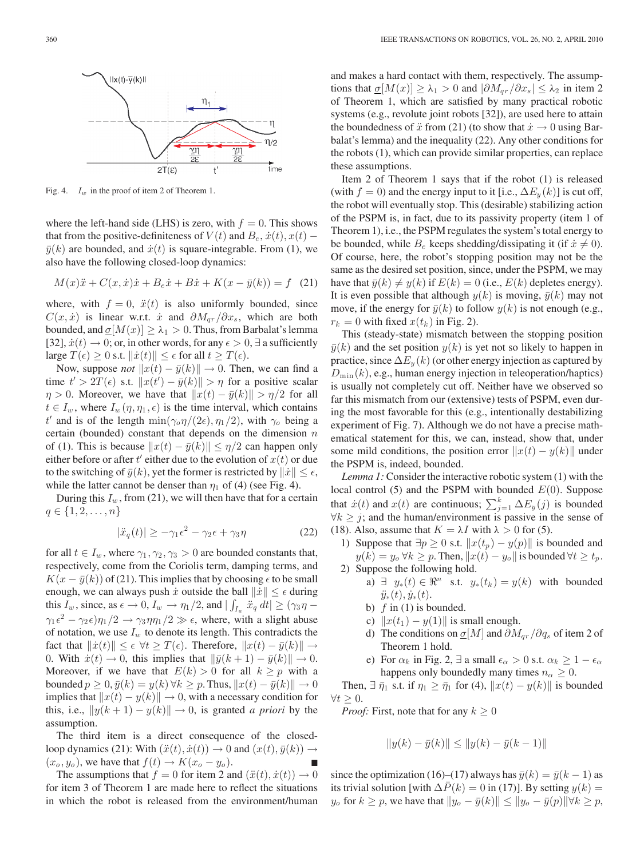

Fig. 4.  $I_w$  in the proof of item 2 of Theorem 1.

where the left-hand side (LHS) is zero, with  $f = 0$ . This shows that from the positive-definiteness of  $V(t)$  and  $B_e$ ,  $\dot{x}(t)$ ,  $x(t)$  –  $\bar{y}(k)$  are bounded, and  $\dot{x}(t)$  is square-integrable. From (1), we also have the following closed-loop dynamics:

$$
M(x)\ddot{x} + C(x, \dot{x})\dot{x} + B_e\dot{x} + B\dot{x} + K(x - \bar{y}(k)) = f \quad (21)
$$

where, with  $f = 0$ ,  $\ddot{x}(t)$  is also uniformly bounded, since  $C(x, \dot{x})$  is linear w.r.t.  $\dot{x}$  and  $\partial M_{ar}/\partial x_s$ , which are both bounded, and  $\sigma[M(x)] \geq \lambda_1 > 0$ . Thus, from Barbalat's lemma [32],  $\dot{x}(t) \rightarrow 0$ ; or, in other words, for any  $\epsilon > 0$ ,  $\exists$  a sufficiently large  $T(\epsilon) \geq 0$  s.t.  $\|\dot{x}(t)\| \leq \epsilon$  for all  $t \geq T(\epsilon)$ .

Now, suppose *not*  $||x(t) - \bar{y}(k)|| \rightarrow 0$ . Then, we can find a time  $t' > 2T(\epsilon)$  s.t.  $||x(t') - \bar{y}(k)|| > \eta$  for a positive scalar  $\eta > 0$ . Moreover, we have that  $||x(t) - \bar{y}(k)|| > \eta/2$  for all  $t \in I_w$ , where  $I_w(\eta, \eta_1, \epsilon)$  is the time interval, which contains t' and is of the length  $\min(\gamma_o \eta/(2\epsilon), \eta_1/2)$ , with  $\gamma_o$  being a certain (bounded) constant that depends on the dimension  $n$ of (1). This is because  $||x(t) - \bar{y}(k)|| \le \eta/2$  can happen only either before or after  $t'$  either due to the evolution of  $x(t)$  or due to the switching of  $\bar{y}(k)$ , yet the former is restricted by  $\|\dot{x}\| \leq \epsilon$ , while the latter cannot be denser than  $\eta_1$  of (4) (see Fig. 4).

During this  $I_w$ , from (21), we will then have that for a certain  $q \in \{1, 2, \ldots, n\}$ 

$$
|\ddot{x}_q(t)| \ge -\gamma_1 \epsilon^2 - \gamma_2 \epsilon + \gamma_3 \eta \tag{22}
$$

for all  $t \in I_w$ , where  $\gamma_1, \gamma_2, \gamma_3 > 0$  are bounded constants that, respectively, come from the Coriolis term, damping terms, and  $K(x - \bar{y}(k))$  of (21). This implies that by choosing  $\epsilon$  to be small enough, we can always push  $\dot{x}$  outside the ball  $\|\dot{x}\| \leq \epsilon$  during this  $I_w$ , since, as  $\epsilon \to 0$ ,  $I_w \to \eta_1/2$ , and  $|\int_{I_w} \ddot{x}_q dt| \ge (\gamma_3 \eta \gamma_1 \epsilon^2 - \gamma_2 \epsilon \eta_1/2 \rightarrow \gamma_3 \eta \eta_1/2 \gg \epsilon$ , where, with a slight abuse of notation, we use  $I_w$  to denote its length. This contradicts the fact that  $\|\dot{x}(t)\| \leq \epsilon \ \forall t \geq T(\epsilon)$ . Therefore,  $\|x(t) - \bar{y}(k)\| \to$ 0. With  $\dot{x}(t) \rightarrow 0$ , this implies that  $\|\bar{y}(k+1) - \bar{y}(k)\| \rightarrow 0$ . Moreover, if we have that  $E(k) > 0$  for all  $k \geq p$  with a bounded  $p \ge 0$ ,  $\bar{y}(k) = y(k) \forall k \ge p$ . Thus,  $||x(t) - \bar{y}(k)|| \rightarrow 0$ implies that  $||x(t) - y(k)|| \rightarrow 0$ , with a necessary condition for this, i.e.,  $||y(k+1) - y(k)|| \rightarrow 0$ , is granted *a priori* by the assumption.

The third item is a direct consequence of the closedloop dynamics (21): With  $(\ddot{x}(t), \dot{x}(t)) \rightarrow 0$  and  $(x(t), \bar{y}(k)) \rightarrow$  $(x_o, y_o)$ , we have that  $f(t) \rightarrow K(x_o - y_o)$ .

The assumptions that  $f = 0$  for item 2 and  $(\ddot{x}(t), \dot{x}(t)) \rightarrow 0$ for item 3 of Theorem 1 are made here to reflect the situations in which the robot is released from the environment/human and makes a hard contact with them, respectively. The assumptions that  $\sigma[M(x)] \geq \lambda_1 > 0$  and  $|\partial M_{qr}/\partial x_s| \leq \lambda_2$  in item 2 of Theorem 1, which are satisfied by many practical robotic systems (e.g., revolute joint robots [32]), are used here to attain the boundedness of  $\ddot{x}$  from (21) (to show that  $\dot{x} \rightarrow 0$  using Barbalat's lemma) and the inequality (22). Any other conditions for the robots (1), which can provide similar properties, can replace these assumptions.

Item 2 of Theorem 1 says that if the robot (1) is released (with  $f = 0$ ) and the energy input to it [i.e.,  $\Delta E_y(k)$ ] is cut off, the robot will eventually stop. This (desirable) stabilizing action of the PSPM is, in fact, due to its passivity property (item 1 of Theorem 1), i.e., the PSPM regulates the system's total energy to be bounded, while  $B_e$  keeps shedding/dissipating it (if  $\dot{x} \neq 0$ ). Of course, here, the robot's stopping position may not be the same as the desired set position, since, under the PSPM, we may have that  $\bar{y}(k) \neq y(k)$  if  $E(k)=0$  (i.e.,  $E(k)$  depletes energy). It is even possible that although  $y(k)$  is moving,  $\bar{y}(k)$  may not move, if the energy for  $\bar{y}(k)$  to follow  $y(k)$  is not enough (e.g.,  $r_k = 0$  with fixed  $x(t_k)$  in Fig. 2).

This (steady-state) mismatch between the stopping position  $\bar{y}(k)$  and the set position  $y(k)$  is yet not so likely to happen in practice, since  $\Delta E_y(k)$  (or other energy injection as captured by  $D_{\min}(k)$ , e.g., human energy injection in teleoperation/haptics) is usually not completely cut off. Neither have we observed so far this mismatch from our (extensive) tests of PSPM, even during the most favorable for this (e.g., intentionally destabilizing experiment of Fig. 7). Although we do not have a precise mathematical statement for this, we can, instead, show that, under some mild conditions, the position error  $||x(t) - y(k)||$  under the PSPM is, indeed, bounded.

*Lemma 1:* Consider the interactive robotic system (1) with the local control (5) and the PSPM with bounded  $E(0)$ . Suppose that  $\dot{x}(t)$  and  $x(t)$  are continuous;  $\sum_{j=1}^{k} \Delta E_y(j)$  is bounded  $\forall k \geq j$ ; and the human/environment is passive in the sense of (18). Also, assume that  $K = \lambda I$  with  $\lambda > 0$  for (5).

- 1) Suppose that  $\exists p \geq 0$  s.t.  $||x(t_p) y(p)||$  is bounded and  $y(k) = y_o \,\forall k \geq p$ . Then,  $||x(t) - y_o||$  is bounded  $\forall t \geq t_p$ . 2) Suppose the following hold.
	- a)  $\exists y_*(t) \in \Re^n$  s.t.  $y_*(t_k) = y(k)$  with bounded  $\ddot{y}_*(t), \dot{y}_*(t).$
	- b)  $f$  in (1) is bounded.
	- c)  $||x(t_1) y(1)||$  is small enough.
	- d) The conditions on  $\sigma[M]$  and  $\partial M_{ar}/\partial q_s$  of item 2 of Theorem 1 hold.
	- e) For  $\alpha_k$  in Fig. 2,  $\exists$  a small  $\epsilon_\alpha > 0$  s.t.  $\alpha_k \geq 1 \epsilon_\alpha$ happens only boundedly many times  $n_{\alpha} \geq 0$ .

Then,  $\exists \bar{\eta}_1$  s.t. if  $\eta_1 \geq \bar{\eta}_1$  for (4),  $||x(t) - y(k)||$  is bounded  $\forall t \geq 0.$ 

*Proof:* First, note that for any  $k \geq 0$ 

$$
||y(k) - \bar{y}(k)|| \le ||y(k) - \bar{y}(k-1)||
$$

since the optimization (16)–(17) always has  $\bar{y}(k) = \bar{y}(k - 1)$  as its trivial solution [with  $\Delta P(k)=0$  in (17)]. By setting  $y(k) =$  $y_o$  for  $k \geq p$ , we have that  $||y_o - \bar{y}(k)|| \leq ||y_o - \bar{y}(p)|| \forall k \geq p$ ,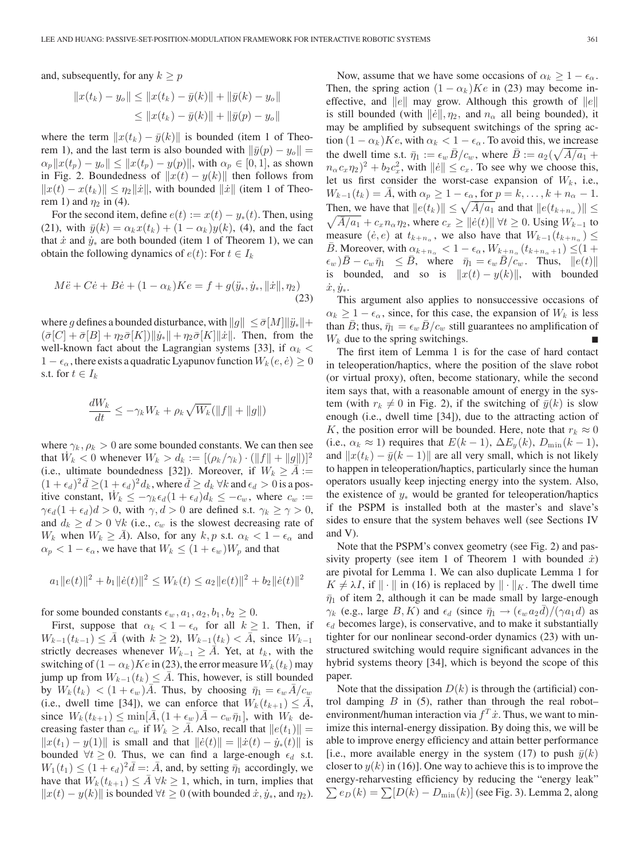and, subsequently, for any  $k \geq p$ 

$$
||x(t_k) - y_o|| \le ||x(t_k) - \bar{y}(k)|| + ||\bar{y}(k) - y_o||
$$
  

$$
\le ||x(t_k) - \bar{y}(k)|| + ||\bar{y}(p) - y_o||
$$

where the term  $||x(t_k) - \bar{y}(k)||$  is bounded (item 1 of Theorem 1), and the last term is also bounded with  $\|\bar{y}(p) - y_o\|$  =  $\alpha_p ||x(t_p) - y_o|| \leq ||x(t_p) - y(p)||$ , with  $\alpha_p \in [0, 1]$ , as shown in Fig. 2. Boundedness of  $||x(t) - y(k)||$  then follows from  $||x(t) - x(t_k)|| \leq \eta_2 ||\dot{x}||$ , with bounded  $||\dot{x}||$  (item 1 of Theorem 1) and  $\eta_2$  in (4).

For the second item, define  $e(t) := x(t) - y_*(t)$ . Then, using (21), with  $\bar{y}(k) = \alpha_k x(t_k) + (1 - \alpha_k) y(k)$ , (4), and the fact that  $\dot{x}$  and  $\dot{y}_*$  are both bounded (item 1 of Theorem 1), we can obtain the following dynamics of  $e(t)$ : For  $t \in I_k$ 

$$
M\ddot{e} + C\dot{e} + B\dot{e} + (1 - \alpha_k)Ke = f + g(\ddot{y}_*, \dot{y}_*, ||\dot{x}||, \eta_2)
$$
\n(23)

where g defines a bounded disturbance, with  $||g|| \leq \bar{\sigma}[M] ||\ddot{y}_*|| +$  $(\bar{\sigma}[C]+\bar{\sigma}[B]+\eta_2\bar{\sigma}[K])\|\dot{y}_*\|+\eta_2\bar{\sigma}[K]\|\dot{x}\|$ . Then, from the well-known fact about the Lagrangian systems [33], if  $\alpha_k$  <  $1 - \epsilon_\alpha$ , there exists a quadratic Lyapunov function  $W_k(e, \dot{e}) \geq 0$ s.t. for  $t \in I_k$ 

$$
\frac{dW_k}{dt} \le -\gamma_k W_k + \rho_k \sqrt{W_k} (\|f\| + \|g\|)
$$

where  $\gamma_k$ ,  $\rho_k > 0$  are some bounded constants. We can then see that  $W_k < 0$  whenever  $W_k > d_k := [(\rho_k/\gamma_k) \cdot (\|f\| + \|g\|)]^2$ (i.e., ultimate boundedness [32]). Moreover, if  $W_k \geq A :=$  $(1+\epsilon_d)^2 \bar{d} \geq (1+\epsilon_d)^2 d_k$ , where  $\bar{d} \geq d_k \forall k$  and  $\epsilon_d > 0$  is a positive constant,  $W_k \leq -\gamma_k \epsilon_d (1 + \epsilon_d) d_k \leq -c_w$ , where  $c_w :=$  $\gamma \epsilon_d (1 + \epsilon_d) d > 0$ , with  $\gamma, d > 0$  are defined s.t.  $\gamma_k \ge \gamma > 0$ , and  $d_k \geq d > 0$   $\forall k$  (i.e.,  $c_w$  is the slowest decreasing rate of  $W_k$  when  $W_k \geq \overline{A}$ ). Also, for any  $k, p$  s.t.  $\alpha_k < 1 - \epsilon_\alpha$  and  $\alpha_p < 1 - \epsilon_\alpha$ , we have that  $W_k \le (1 + \epsilon_w) W_p$  and that

$$
a_1 ||e(t)||^2 + b_1 ||\dot{e}(t)||^2 \le W_k(t) \le a_2 ||e(t)||^2 + b_2 ||\dot{e}(t)||^2
$$

for some bounded constants  $\epsilon_w$ ,  $a_1$ ,  $a_2$ ,  $b_1$ ,  $b_2 \geq 0$ .

First, suppose that  $\alpha_k < 1 - \epsilon_\alpha$  for all  $k \ge 1$ . Then, if  $W_{k-1}(t_{k-1}) \leq \overline{A}$  (with  $k \geq 2$ ),  $W_{k-1}(t_k) < \overline{A}$ , since  $W_{k-1}$ strictly decreases whenever  $W_{k-1} \geq A$ . Yet, at  $t_k$ , with the switching of  $(1 - \alpha_k)Ke$  in (23), the error measure  $W_k(t_k)$  may jump up from  $W_{k-1}(t_k) \leq \overline{A}$ . This, however, is still bounded by  $W_k(t_k) < (1 + \epsilon_w) \overline{A}$ . Thus, by choosing  $\overline{\eta}_1 = \epsilon_w \overline{A}/c_w$ (i.e., dwell time [34]), we can enforce that  $W_k(t_{k+1}) \leq \overline{A}$ , since  $W_k(t_{k+1}) \leq \min[\bar{A}, (1+\epsilon_w)\bar{A} - c_w \bar{\eta}_1]$ , with  $W_k$  decreasing faster than  $c_w$  if  $W_k \geq \overline{A}$ . Also, recall that  $||e(t_1)|| =$  $||x(t_1) - y(1)||$  is small and that  $||\dot{e}(t)|| = ||\dot{x}(t) - \dot{y}_*(t)||$  is bounded  $\forall t \geq 0$ . Thus, we can find a large-enough  $\epsilon_d$  s.t.  $W_1(t_1) \le (1 + \epsilon_d)^2 \bar{d} =: \bar{A}$ , and, by setting  $\bar{\eta}_1$  accordingly, we have that  $W_k(t_{k+1}) \leq \overline{A} \ \forall k \geq 1$ , which, in turn, implies that  $||x(t) - y(k)||$  is bounded  $\forall t \geq 0$  (with bounded  $\dot{x}, \dot{y}_*,$  and  $\eta_2$ ).

Now, assume that we have some occasions of  $\alpha_k \geq 1 - \epsilon_\alpha$ . Then, the spring action  $(1 - \alpha_k)K_e$  in (23) may become ineffective, and  $||e||$  may grow. Although this growth of  $||e||$ is still bounded (with  $\|\dot{e}\|, \eta_2$ , and  $n_\alpha$  all being bounded), it may be amplified by subsequent switchings of the spring action  $(1 - \alpha_k)K_e$ , with  $\alpha_k < 1 - \epsilon_\alpha$ . To avoid this, we increase the dwell time s.t.  $\bar{\eta}_1 := \epsilon_w \bar{B}/c_w$ , where  $\bar{B} := a_2(\sqrt{\bar{A}/a_1} +$  $n_{\alpha} c_x \eta_2^2 + b_2 c_x^2$ , with  $||\dot{e}|| \leq c_x$ . To see why we choose this, let us first consider the worst-case expansion of  $W_k$ , i.e.,  $W_{k-1}(t_k) = \overline{A}$ , with  $\alpha_p \ge 1 - \epsilon_\alpha$ , for  $p = k, \ldots, k + n_\alpha - 1$ . Then, we have that  $||e(t_k)|| \le \sqrt{\bar{A}/a_1}$  and that  $||e(t_{k+n_{\alpha}})|| \le$  $\sqrt{\bar{A}/a_1} + c_x n_\alpha \eta_2$ , where  $c_x \ge ||\dot{e}(t)|| \forall t \ge 0$ . Using  $W_{k-1}$  to measure  $(\dot{e}, e)$  at  $t_{k+n_0}$ , we also have that  $W_{k-1}(t_{k+n_0}) \leq$ B. Moreover, with  $\alpha_{k+n_{\alpha}} < 1 - \epsilon_{\alpha}$ ,  $W_{k+n_{\alpha}}(t_{k+n_{\alpha}+1}) \leq (1 + \epsilon_{\alpha})$  $(\epsilon_w) \bar{B} - c_w \bar{\eta}_1 \leq \bar{B}$ , where  $\bar{\eta}_1 = \epsilon_w \bar{B}/c_w$ . Thus,  $||e(t)||$ is bounded, and so is  $||x(t) - y(k)||$ , with bounded  $\dot{x}, \dot{y}_*.$ 

This argument also applies to nonsuccessive occasions of  $\alpha_k \geq 1 - \epsilon_\alpha$ , since, for this case, the expansion of  $W_k$  is less than B; thus,  $\bar{\eta}_1 = \epsilon_w B/c_w$  still guarantees no amplification of  $W_k$  due to the spring switchings.

The first item of Lemma 1 is for the case of hard contact in teleoperation/haptics, where the position of the slave robot (or virtual proxy), often, become stationary, while the second item says that, with a reasonable amount of energy in the system (with  $r_k \neq 0$  in Fig. 2), if the switching of  $\bar{y}(k)$  is slow enough (i.e., dwell time [34]), due to the attracting action of K, the position error will be bounded. Here, note that  $r_k \approx 0$ (i.e.,  $\alpha_k \approx 1$ ) requires that  $E(k-1)$ ,  $\Delta E_y(k)$ ,  $D_{\min}(k-1)$ , and  $||x(t_k) - \bar{y}(k-1)||$  are all very small, which is not likely to happen in teleoperation/haptics, particularly since the human operators usually keep injecting energy into the system. Also, the existence of  $y_*$  would be granted for teleoperation/haptics if the PSPM is installed both at the master's and slave's sides to ensure that the system behaves well (see Sections IV and V).

Note that the PSPM's convex geometry (see Fig. 2) and passivity property (see item 1 of Theorem 1 with bounded  $\dot{x}$ ) are pivotal for Lemma 1. We can also duplicate Lemma 1 for  $K \neq \lambda I$ , if  $\|\cdot\|$  in (16) is replaced by  $\|\cdot\|_K$ . The dwell time  $\bar{\eta}_1$  of item 2, although it can be made small by large-enough  $\gamma_k$  (e.g., large  $B, K$ ) and  $\epsilon_d$  (since  $\bar{\eta}_1 \rightarrow (\epsilon_w a_2 \bar{d})/(\gamma a_1 d)$  as  $\epsilon_d$  becomes large), is conservative, and to make it substantially tighter for our nonlinear second-order dynamics (23) with unstructured switching would require significant advances in the hybrid systems theory [34], which is beyond the scope of this paper.

Note that the dissipation  $D(k)$  is through the (artificial) control damping  $B$  in (5), rather than through the real robot– environment/human interaction via  $f^T \dot{x}$ . Thus, we want to minimize this internal-energy dissipation. By doing this, we will be able to improve energy efficiency and attain better performance [i.e., more available energy in the system (17) to push  $\bar{y}(k)$ closer to  $y(k)$  in (16)]. One way to achieve this is to improve the energy-reharvesting efficiency by reducing the "energy leak"  $\sum e_D(k) = \sum [D(k) - D_{\min}(k)]$  (see Fig. 3). Lemma 2, along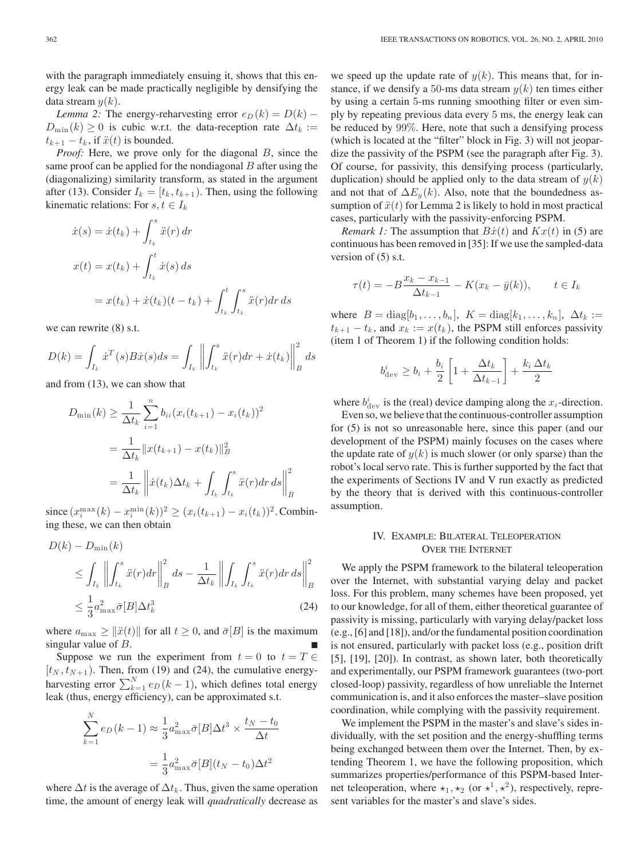with the paragraph immediately ensuing it, shows that this energy leak can be made practically negligible by densifying the data stream  $y(k)$ .

*Lemma 2:* The energy-reharvesting error  $e_D(k) = D(k)$  –  $D_{\min}(k) \geq 0$  is cubic w.r.t. the data-reception rate  $\Delta t_k :=$  $t_{k+1} - t_k$ , if  $\ddot{x}(t)$  is bounded.

*Proof:* Here, we prove only for the diagonal B, since the same proof can be applied for the nondiagonal  $B$  after using the (diagonalizing) similarity transform, as stated in the argument after (13). Consider  $I_k = [t_k, t_{k+1})$ . Then, using the following kinematic relations: For  $s, t \in I_k$ 

$$
\begin{aligned} \dot{x}(s) &= \dot{x}(t_k) + \int_{t_k}^s \ddot{x}(r) \, dr \\ x(t) &= x(t_k) + \int_{t_k}^t \dot{x}(s) \, ds \\ &= x(t_k) + \dot{x}(t_k)(t - t_k) + \int_{t_k}^t \int_{t_k}^s \ddot{x}(r) \, dr \, ds \end{aligned}
$$

we can rewrite (8) s.t.

$$
D(k) = \int_{I_k} \dot{x}^T(s) B\dot{x}(s) ds = \int_{I_k} \left\| \int_{t_k}^s \ddot{x}(r) dr + \dot{x}(t_k) \right\|_B^2 ds
$$

and from (13), we can show that

$$
D_{\min}(k) \ge \frac{1}{\Delta t_k} \sum_{i=1}^n b_{ii} (x_i(t_{k+1}) - x_i(t_k))^2
$$
  
= 
$$
\frac{1}{\Delta t_k} ||x(t_{k+1}) - x(t_k)||_B^2
$$
  
= 
$$
\frac{1}{\Delta t_k} ||\dot{x}(t_k)\Delta t_k + \int_{I_k} \int_{t_k}^s \dot{x}(r) dr ds||_B^2
$$

since  $(x_i^{\max}(k) - x_i^{\min}(k))^2 \ge (x_i(t_{k+1}) - x_i(t_k))^2$ . Combining these, we can then obtain

$$
D(k) - D_{\min}(k)
$$
  
\n
$$
\leq \int_{I_k} \left\| \int_{t_k}^s \ddot{x}(r) dr \right\|_{B}^2 ds - \frac{1}{\Delta t_k} \left\| \int_{I_k} \int_{t_k}^s \ddot{x}(r) dr ds \right\|_{B}^2
$$
  
\n
$$
\leq \frac{1}{3} a_{\max}^2 \bar{\sigma}[B] \Delta t_k^3
$$
\n(24)

where  $a_{\text{max}} \ge ||\ddot{x}(t)||$  for all  $t \ge 0$ , and  $\bar{\sigma}[B]$  is the maximum singular value of B.

Suppose we run the experiment from  $t = 0$  to  $t = T \in$  $[t_N, t_{N+1})$ . Then, from (19) and (24), the cumulative energyharvesting error  $\sum_{k=1}^{N} e_D (k-1)$ , which defines total energy leak (thus, energy efficiency), can be approximated s.t.

$$
\sum_{k=1}^{N} e_D(k-1) \approx \frac{1}{3} a_{\text{max}}^2 \bar{\sigma}[B] \Delta t^3 \times \frac{t_N - t_0}{\Delta t}
$$

$$
= \frac{1}{3} a_{\text{max}}^2 \bar{\sigma}[B](t_N - t_0) \Delta t^2
$$

where  $\Delta t$  is the average of  $\Delta t_k$ . Thus, given the same operation time, the amount of energy leak will *quadratically* decrease as we speed up the update rate of  $y(k)$ . This means that, for instance, if we densify a 50-ms data stream  $y(k)$  ten times either by using a certain 5-ms running smoothing filter or even simply by repeating previous data every 5 ms, the energy leak can be reduced by 99%. Here, note that such a densifying process (which is located at the "filter" block in Fig. 3) will not jeopardize the passivity of the PSPM (see the paragraph after Fig. 3). Of course, for passivity, this densifying process (particularly, duplication) should be applied only to the data stream of  $y(k)$ and not that of  $\Delta E_y(k)$ . Also, note that the boundedness assumption of  $\ddot{x}(t)$  for Lemma 2 is likely to hold in most practical cases, particularly with the passivity-enforcing PSPM.

*Remark 1:* The assumption that  $B\dot{x}(t)$  and  $Kx(t)$  in (5) are continuous has been removed in [35]: If we use the sampled-data version of (5) s.t.

$$
\tau(t) = -B \frac{x_k - x_{k-1}}{\Delta t_{k-1}} - K(x_k - \bar{y}(k)), \qquad t \in I_k
$$

where  $B = \text{diag}[b_1, \ldots, b_n], K = \text{diag}[k_1, \ldots, k_n], \Delta t_k :=$  $t_{k+1} - t_k$ , and  $x_k := x(t_k)$ , the PSPM still enforces passivity (item 1 of Theorem 1) if the following condition holds:

$$
b_{\text{dev}}^i \ge b_i + \frac{b_i}{2} \left[ 1 + \frac{\Delta t_k}{\Delta t_{k-1}} \right] + \frac{k_i \, \Delta t_k}{2}
$$

where  $b_{\text{dev}}^i$  is the (real) device damping along the  $x_i$ -direction.

Even so, we believe that the continuous-controller assumption for (5) is not so unreasonable here, since this paper (and our development of the PSPM) mainly focuses on the cases where the update rate of  $y(k)$  is much slower (or only sparse) than the robot's local servo rate. This is further supported by the fact that the experiments of Sections IV and V run exactly as predicted by the theory that is derived with this continuous-controller assumption.

# IV. EXAMPLE: BILATERAL TELEOPERATION OVER THE INTERNET

We apply the PSPM framework to the bilateral teleoperation over the Internet, with substantial varying delay and packet loss. For this problem, many schemes have been proposed, yet to our knowledge, for all of them, either theoretical guarantee of passivity is missing, particularly with varying delay/packet loss (e.g., [6] and [18]), and/or the fundamental position coordination is not ensured, particularly with packet loss (e.g., position drift [5], [19], [20]). In contrast, as shown later, both theoretically and experimentally, our PSPM framework guarantees (two-port closed-loop) passivity, regardless of how unreliable the Internet communication is, and it also enforces the master–slave position coordination, while complying with the passivity requirement.

We implement the PSPM in the master's and slave's sides individually, with the set position and the energy-shuffling terms being exchanged between them over the Internet. Then, by extending Theorem 1, we have the following proposition, which summarizes properties/performance of this PSPM-based Internet teleoperation, where  $\star_1, \star_2$  (or  $\star^1, \star^2$ ), respectively, represent variables for the master's and slave's sides.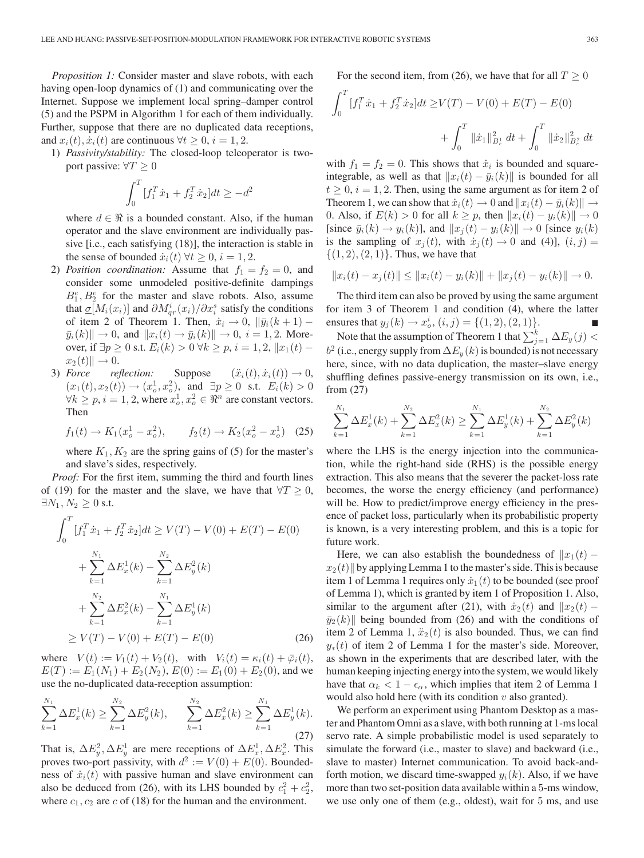*Proposition 1:* Consider master and slave robots, with each having open-loop dynamics of (1) and communicating over the Internet. Suppose we implement local spring–damper control (5) and the PSPM in Algorithm 1 for each of them individually. Further, suppose that there are no duplicated data receptions, and  $x_i(t)$ ,  $\dot{x}_i(t)$  are continuous  $\forall t > 0$ ,  $i = 1, 2$ .

1) *Passivity/stability:* The closed-loop teleoperator is twoport passive:  $\forall T \geq 0$ 

$$
\int_0^T [f_1^T \dot{x}_1 + f_2^T \dot{x}_2] dt \ge -d^2
$$

where  $d \in \Re$  is a bounded constant. Also, if the human operator and the slave environment are individually passive [i.e., each satisfying (18)], the interaction is stable in the sense of bounded  $\dot{x}_i(t)$   $\forall t \geq 0, i = 1, 2$ .

- 2) *Position coordination:* Assume that  $f_1 = f_2 = 0$ , and consider some unmodeled positive-definite dampings  $B_1^e, B_2^e$  for the master and slave robots. Also, assume that  $\underline{\sigma}[M_i(x_i)]$  and  $\partial M_{qr}^i(x_i)/\partial x_i^s$  satisfy the conditions of item 2 of Theorem 1. Then,  $\dot{x}_i \rightarrow 0$ ,  $\|\bar{y}_i(k+1) \bar{y}_i(k) \| \to 0$ , and  $\|x_i(t) \to \bar{y}_i(k) \| \to 0$ ,  $i = 1, 2$ . Moreover, if  $\exists p \ge 0$  s.t.  $E_i(k) > 0 \ \forall k \ge p, i = 1, 2, ||x_1(t)$  $x_2(t)$   $\rightarrow$  0.
- 3) *Force* reflection: Suppose  $(\ddot{x}_i(t), \dot{x}_i(t)) \rightarrow 0$ ,  $(x_1(t), x_2(t)) \to (x_0^1, x_0^2)$ , and  $\exists p \ge 0$  s.t.  $E_i(k) > 0$  $\forall k \ge p, i = 1, 2$ , where  $x_o^1, x_o^2 \in \Re^n$  are constant vectors. Then

$$
f_1(t) \to K_1(x_o^1 - x_o^2), \qquad f_2(t) \to K_2(x_o^2 - x_o^1)
$$
 (25)

where  $K_1, K_2$  are the spring gains of (5) for the master's and slave's sides, respectively.

*Proof:* For the first item, summing the third and fourth lines of (19) for the master and the slave, we have that  $\forall T \geq 0$ ,  $\exists N_1, N_2 \geq 0$  s.t.

$$
\int_0^T [f_1^T \dot{x}_1 + f_2^T \dot{x}_2] dt \ge V(T) - V(0) + E(T) - E(0)
$$
  
+ 
$$
\sum_{k=1}^{N_1} \Delta E_x^1(k) - \sum_{k=1}^{N_2} \Delta E_y^2(k)
$$
  
+ 
$$
\sum_{k=1}^{N_2} \Delta E_x^2(k) - \sum_{k=1}^{N_1} \Delta E_y^1(k)
$$
  

$$
\ge V(T) - V(0) + E(T) - E(0)
$$
 (26)

where  $V(t) := V_1(t) + V_2(t)$ , with  $V_i(t) = \kappa_i(t) + \bar{\varphi}_i(t)$ ,  $E(T) := E_1(N_1) + E_2(N_2), E(0) := E_1(0) + E_2(0)$ , and we use the no-duplicated data-reception assumption:

$$
\sum_{k=1}^{N_1} \Delta E_x^1(k) \ge \sum_{k=1}^{N_2} \Delta E_y^2(k), \qquad \sum_{k=1}^{N_2} \Delta E_x^2(k) \ge \sum_{k=1}^{N_1} \Delta E_y^1(k).
$$
\n(27)

That is,  $\Delta E_y^2$ ,  $\Delta E_y^1$  are mere receptions of  $\Delta E_x^1$ ,  $\Delta E_x^2$ . This proves two-port passivity, with  $d^2 := V(0) + E(0)$ . Boundedness of  $\dot{x}_i(t)$  with passive human and slave environment can also be deduced from (26), with its LHS bounded by  $c_1^2 + c_2^2$ , where  $c_1, c_2$  are c of (18) for the human and the environment.

For the second item, from (26), we have that for all  $T \geq 0$ 

$$
\int_0^T [f_1^T \dot{x}_1 + f_2^T \dot{x}_2] dt \ge V(T) - V(0) + E(T) - E(0)
$$
  
+ 
$$
\int_0^T \|\dot{x}_1\|_{B_e}^2 dt + \int_0^T \|\dot{x}_2\|_{B_e}^2 dt
$$

with  $f_1 = f_2 = 0$ . This shows that  $\dot{x}_i$  is bounded and squareintegrable, as well as that  $||x_i(t) - \bar{y}_i(k)||$  is bounded for all  $t \geq 0$ ,  $i = 1, 2$ . Then, using the same argument as for item 2 of Theorem 1, we can show that  $\dot{x}_i(t) \to 0$  and  $||x_i(t) - \bar{y}_i(k)|| \to$ 0. Also, if  $E(k) > 0$  for all  $k \geq p$ , then  $||x_i(t) - y_i(k)|| \to 0$ [since  $\bar{y}_i(k) \rightarrow y_i(k)$ ], and  $||x_i(t) - y_i(k)|| \rightarrow 0$  [since  $y_i(k)$ ] is the sampling of  $x_i(t)$ , with  $\dot{x}_i(t) \rightarrow 0$  and (4)],  $(i, j) =$  $\{(1, 2), (2, 1)\}.$  Thus, we have that

$$
||x_i(t) - x_j(t)|| \le ||x_i(t) - y_i(k)|| + ||x_j(t) - y_i(k)|| \to 0.
$$

The third item can also be proved by using the same argument for item 3 of Theorem 1 and condition (4), where the latter ensures that  $y_j(k) \to x_o^i$ ,  $(i, j) = \{(1, 2), (2, 1)\}.$ 

Note that the assumption of Theorem 1 that  $\sum_{j=1}^k \Delta E_y(j) <$  $b^2$  (i.e., energy supply from  $\Delta E_y(k)$  is bounded) is not necessary here, since, with no data duplication, the master–slave energy shuffling defines passive-energy transmission on its own, i.e., from (27)

$$
\sum_{k=1}^{N_1} \Delta E_x^1(k) + \sum_{k=1}^{N_2} \Delta E_x^2(k) \ge \sum_{k=1}^{N_1} \Delta E_y^1(k) + \sum_{k=1}^{N_2} \Delta E_y^2(k)
$$

where the LHS is the energy injection into the communication, while the right-hand side (RHS) is the possible energy extraction. This also means that the severer the packet-loss rate becomes, the worse the energy efficiency (and performance) will be. How to predict/improve energy efficiency in the presence of packet loss, particularly when its probabilistic property is known, is a very interesting problem, and this is a topic for future work.

Here, we can also establish the boundedness of  $||x_1(t)$  $x_2(t)$  by applying Lemma 1 to the master's side. This is because item 1 of Lemma 1 requires only  $\dot{x}_1(t)$  to be bounded (see proof of Lemma 1), which is granted by item 1 of Proposition 1. Also, similar to the argument after (21), with  $\dot{x}_2(t)$  and  $||x_2(t) \bar{y}_2(k)$  being bounded from (26) and with the conditions of item 2 of Lemma 1,  $\ddot{x}_2(t)$  is also bounded. Thus, we can find  $y_*(t)$  of item 2 of Lemma 1 for the master's side. Moreover, as shown in the experiments that are described later, with the human keeping injecting energy into the system, we would likely have that  $\alpha_k < 1 - \epsilon_\alpha$ , which implies that item 2 of Lemma 1 would also hold here (with its condition  $v$  also granted).

We perform an experiment using Phantom Desktop as a master and Phantom Omni as a slave, with both running at 1-ms local servo rate. A simple probabilistic model is used separately to simulate the forward (i.e., master to slave) and backward (i.e., slave to master) Internet communication. To avoid back-andforth motion, we discard time-swapped  $y_i(k)$ . Also, if we have more than two set-position data available within a 5-ms window, we use only one of them (e.g., oldest), wait for 5 ms, and use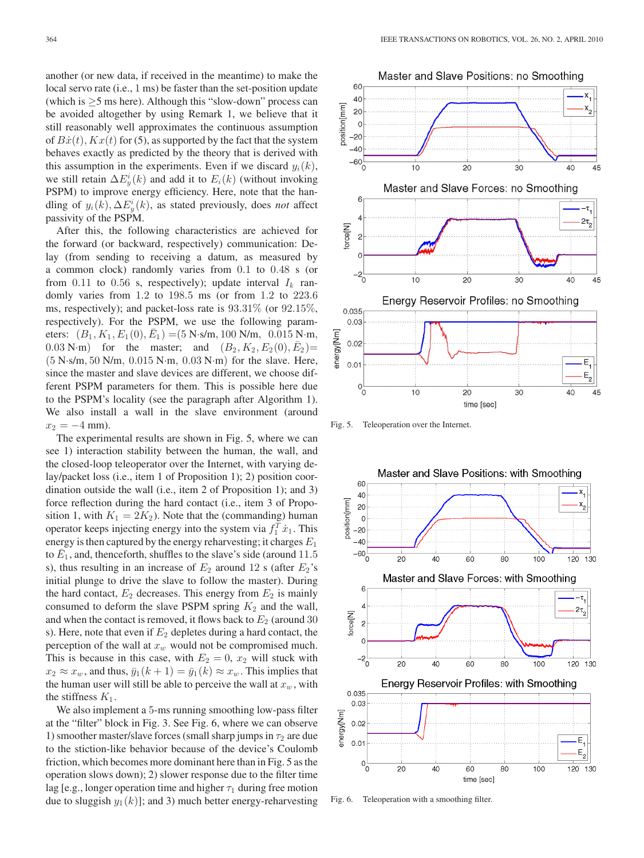another (or new data, if received in the meantime) to make the local servo rate (i.e., 1 ms) be faster than the set-position update (which is  $\geq$ 5 ms here). Although this "slow-down" process can be avoided altogether by using Remark 1, we believe that it still reasonably well approximates the continuous assumption of  $B\dot{x}(t)$ ,  $Kx(t)$  for (5), as supported by the fact that the system behaves exactly as predicted by the theory that is derived with this assumption in the experiments. Even if we discard  $y_i(k)$ , we still retain  $\Delta E_y^i(k)$  and add it to  $E_i(k)$  (without invoking PSPM) to improve energy efficiency. Here, note that the handling of  $y_i(k)$ ,  $\Delta E_y^i(k)$ , as stated previously, does *not* affect passivity of the PSPM.

After this, the following characteristics are achieved for the forward (or backward, respectively) communication: Delay (from sending to receiving a datum, as measured by a common clock) randomly varies from 0.1 to 0.48 s (or from 0.11 to 0.56 s, respectively); update interval  $I_k$  randomly varies from 1.2 to 198.5 ms (or from 1.2 to 223.6 ms, respectively); and packet-loss rate is 93.31% (or 92.15%, respectively). For the PSPM, we use the following parameters:  $(B_1, K_1, E_1(0), \overline{E}_1) = (5 \text{ N} \cdot \text{s/m}, 100 \text{ N/m}, 0.015 \text{ N} \cdot \text{m},$ 0.03 N·m) for the master; and  $(B_2, K_2, E_2(0), \bar{E}_2)$ = (5 N·s/m, 50 N/m, 0.015 N·m, 0.03 N·m) for the slave. Here, since the master and slave devices are different, we choose different PSPM parameters for them. This is possible here due to the PSPM's locality (see the paragraph after Algorithm 1). We also install a wall in the slave environment (around  $x_2 = -4$  mm).

The experimental results are shown in Fig. 5, where we can see 1) interaction stability between the human, the wall, and the closed-loop teleoperator over the Internet, with varying delay/packet loss (i.e., item 1 of Proposition 1); 2) position coordination outside the wall (i.e., item 2 of Proposition 1); and 3) force reflection during the hard contact (i.e., item 3 of Proposition 1, with  $K_1 = 2K_2$ ). Note that the (commanding) human operator keeps injecting energy into the system via  $f_1^T \dot{x}_1$ . This energy is then captured by the energy reharvesting; it charges  $E_1$ to  $\bar{E}_1$ , and, thenceforth, shuffles to the slave's side (around 11.5) s), thus resulting in an increase of  $E_2$  around 12 s (after  $E_2$ 's initial plunge to drive the slave to follow the master). During the hard contact,  $E_2$  decreases. This energy from  $E_2$  is mainly consumed to deform the slave PSPM spring  $K_2$  and the wall, and when the contact is removed, it flows back to  $E_2$  (around 30 s). Here, note that even if  $E_2$  depletes during a hard contact, the perception of the wall at  $x_w$  would not be compromised much. This is because in this case, with  $E_2 = 0$ ,  $x_2$  will stuck with  $x_2 \approx x_w$ , and thus,  $\bar{y}_1(k+1) = \bar{y}_1(k) \approx x_w$ . This implies that the human user will still be able to perceive the wall at  $x_w$ , with the stiffness  $K_1$ .

We also implement a 5-ms running smoothing low-pass filter at the "filter" block in Fig. 3. See Fig. 6, where we can observe 1) smoother master/slave forces (small sharp jumps in  $\tau_2$  are due to the stiction-like behavior because of the device's Coulomb friction, which becomes more dominant here than in Fig. 5 as the operation slows down); 2) slower response due to the filter time lag [e.g., longer operation time and higher  $\tau_1$  during free motion due to sluggish  $y_1(k)$ ; and 3) much better energy-reharvesting



Fig. 5. Teleoperation over the Internet.



Fig. 6. Teleoperation with a smoothing filter.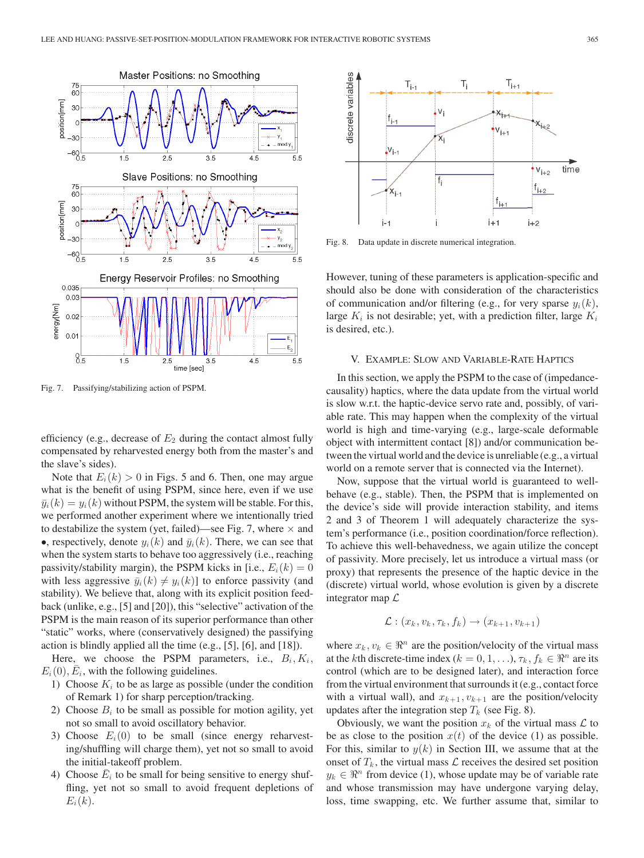

Fig. 7. Passifying/stabilizing action of PSPM.

efficiency (e.g., decrease of  $E_2$  during the contact almost fully compensated by reharvested energy both from the master's and the slave's sides).

Note that  $E_i(k) > 0$  in Figs. 5 and 6. Then, one may argue what is the benefit of using PSPM, since here, even if we use  $\bar{y}_i(k) = y_i(k)$  without PSPM, the system will be stable. For this, we performed another experiment where we intentionally tried to destabilize the system (yet, failed)—see Fig. 7, where  $\times$  and •, respectively, denote  $y_i(k)$  and  $\bar{y}_i(k)$ . There, we can see that when the system starts to behave too aggressively (i.e., reaching passivity/stability margin), the PSPM kicks in [i.e.,  $E_i(k)=0$ with less aggressive  $\bar{y}_i(k) \neq y_i(k)$ ] to enforce passivity (and stability). We believe that, along with its explicit position feedback (unlike, e.g., [5] and [20]), this "selective" activation of the PSPM is the main reason of its superior performance than other "static" works, where (conservatively designed) the passifying action is blindly applied all the time (e.g., [5], [6], and [18]).

Here, we choose the PSPM parameters, i.e.,  $B_i, K_i$ ,  $E_i(0), E_i$ , with the following guidelines.

- 1) Choose  $K_i$  to be as large as possible (under the condition of Remark 1) for sharp perception/tracking.
- 2) Choose  $B_i$  to be small as possible for motion agility, yet not so small to avoid oscillatory behavior.
- 3) Choose  $E_i(0)$  to be small (since energy reharvesting/shuffling will charge them), yet not so small to avoid the initial-takeoff problem.
- 4) Choose  $\overline{E}_i$  to be small for being sensitive to energy shuffling, yet not so small to avoid frequent depletions of  $E_i(k)$ .



Fig. 8. Data update in discrete numerical integration.

However, tuning of these parameters is application-specific and should also be done with consideration of the characteristics of communication and/or filtering (e.g., for very sparse  $y_i(k)$ , large  $K_i$  is not desirable; yet, with a prediction filter, large  $K_i$ is desired, etc.).

#### V. EXAMPLE: SLOW AND VARIABLE-RATE HAPTICS

In this section, we apply the PSPM to the case of (impedancecausality) haptics, where the data update from the virtual world is slow w.r.t. the haptic-device servo rate and, possibly, of variable rate. This may happen when the complexity of the virtual world is high and time-varying (e.g., large-scale deformable object with intermittent contact [8]) and/or communication between the virtual world and the device is unreliable (e.g., a virtual world on a remote server that is connected via the Internet).

Now, suppose that the virtual world is guaranteed to wellbehave (e.g., stable). Then, the PSPM that is implemented on the device's side will provide interaction stability, and items 2 and 3 of Theorem 1 will adequately characterize the system's performance (i.e., position coordination/force reflection). To achieve this well-behavedness, we again utilize the concept of passivity. More precisely, let us introduce a virtual mass (or proxy) that represents the presence of the haptic device in the (discrete) virtual world, whose evolution is given by a discrete integrator map  $\mathcal L$ 

$$
\mathcal{L}: (x_k, v_k, \tau_k, f_k) \rightarrow (x_{k+1}, v_{k+1})
$$

where  $x_k, v_k \in \mathbb{R}^n$  are the position/velocity of the virtual mass at the kth discrete-time index ( $k = 0, 1, \ldots$ ),  $\tau_k$ ,  $f_k \in \Re^n$  are its control (which are to be designed later), and interaction force from the virtual environment that surrounds it (e.g., contact force with a virtual wall), and  $x_{k+1}, v_{k+1}$  are the position/velocity updates after the integration step  $T_k$  (see Fig. 8).

Obviously, we want the position  $x_k$  of the virtual mass  $\mathcal L$  to be as close to the position  $x(t)$  of the device (1) as possible. For this, similar to  $y(k)$  in Section III, we assume that at the onset of  $T_k$ , the virtual mass  $\mathcal L$  receives the desired set position  $y_k \in \mathbb{R}^n$  from device (1), whose update may be of variable rate and whose transmission may have undergone varying delay, loss, time swapping, etc. We further assume that, similar to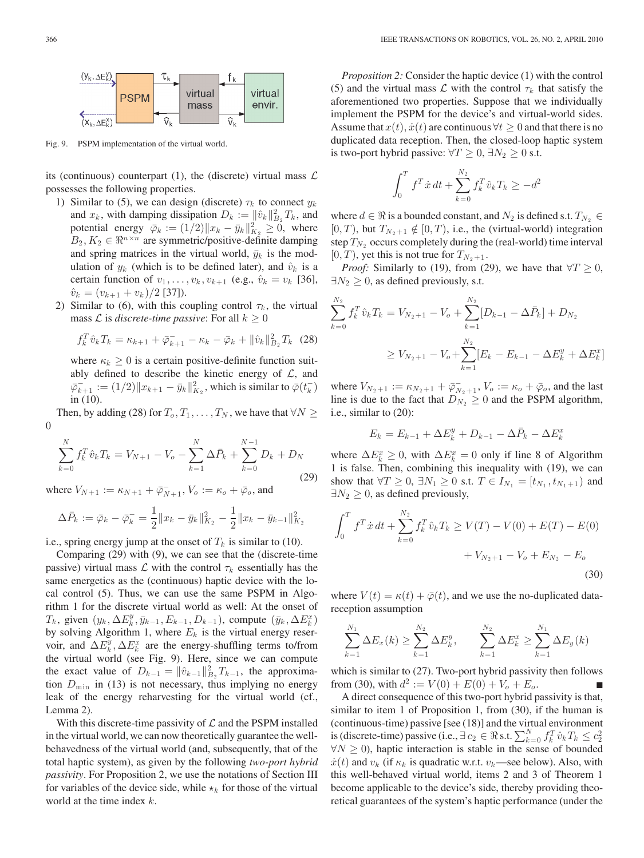

Fig. 9. PSPM implementation of the virtual world.

its (continuous) counterpart (1), the (discrete) virtual mass  $\mathcal L$ possesses the following properties.

- 1) Similar to (5), we can design (discrete)  $\tau_k$  to connect  $y_k$ and  $x_k$ , with damping dissipation  $D_k := ||\hat{v}_k||_{B_2}^2 T_k$ , and potential energy  $\bar{\varphi}_k := (1/2) \|x_k - \bar{y}_k\|_{K_2}^2 \geq 0$ , where  $B_2, K_2 \in \mathbb{R}^{n \times n}$  are symmetric/positive-definite damping and spring matrices in the virtual world,  $\bar{y}_k$  is the modulation of  $y_k$  (which is to be defined later), and  $\hat{v}_k$  is a certain function of  $v_1, \ldots, v_k, v_{k+1}$  (e.g.,  $\hat{v}_k = v_k$  [36],  $\hat{v}_k = (v_{k+1} + v_k)/2$  [37]).
- 2) Similar to (6), with this coupling control  $\tau_k$ , the virtual mass  $\mathcal L$  is *discrete-time passive*: For all  $k \geq 0$

$$
f_k^T \hat{v}_k T_k = \kappa_{k+1} + \bar{\varphi}_{k+1} - \kappa_k - \bar{\varphi}_k + ||\hat{v}_k||_{B_2}^2 T_k
$$
 (28)

where  $\kappa_k \geq 0$  is a certain positive-definite function suitably defined to describe the kinetic energy of  $\mathcal{L}$ , and  $\bar{\varphi}_{k+1}^-:= (1/2)\|x_{k+1}-\bar{y}_k\|_{K_2}^2$ , which is similar to  $\bar{\varphi}(t_k^-)$ in (10).

Then, by adding (28) for  $T_0, T_1, \ldots, T_N$ , we have that  $\forall N \geq$ 0

$$
\sum_{k=0}^{N} f_k^T \hat{v}_k T_k = V_{N+1} - V_o - \sum_{k=1}^{N} \Delta \bar{P}_k + \sum_{k=0}^{N-1} D_k + D_N
$$
\n(29)

where  $V_{N+1} := \kappa_{N+1} + \overline{\varphi}_{N+1}^-, V_o := \kappa_o + \overline{\varphi}_o$ , and

$$
\Delta \bar{P}_k := \bar{\varphi}_k - \bar{\varphi}_k^- = \frac{1}{2} ||x_k - \bar{y}_k||_{K_2}^2 - \frac{1}{2} ||x_k - \bar{y}_{k-1}||_{K_2}^2
$$

i.e., spring energy jump at the onset of  $T_k$  is similar to (10).

Comparing (29) with (9), we can see that the (discrete-time passive) virtual mass  $\mathcal L$  with the control  $\tau_k$  essentially has the same energetics as the (continuous) haptic device with the local control (5). Thus, we can use the same PSPM in Algorithm 1 for the discrete virtual world as well: At the onset of  $T_k$ , given  $(y_k, \Delta E_k^y, \bar{y}_{k-1}, E_{k-1}, D_{k-1})$ , compute  $(\bar{y}_k, \Delta E_k^x)$ by solving Algorithm 1, where  $E_k$  is the virtual energy reservoir, and  $\Delta E_k^y$ ,  $\Delta E_k^x$  are the energy-shuffling terms to/from the virtual world (see Fig. 9). Here, since we can compute the exact value of  $D_{k-1} = ||\hat{v}_{k-1}||_{B_2}^2 T_{k-1}$ , the approximation  $D_{\min}$  in (13) is not necessary, thus implying no energy leak of the energy reharvesting for the virtual world (cf., Lemma 2).

With this discrete-time passivity of  $\mathcal L$  and the PSPM installed in the virtual world, we can now theoretically guarantee the wellbehavedness of the virtual world (and, subsequently, that of the total haptic system), as given by the following *two-port hybrid passivity*. For Proposition 2, we use the notations of Section III for variables of the device side, while  $\star_k$  for those of the virtual world at the time index k.

*Proposition 2:* Consider the haptic device (1) with the control (5) and the virtual mass  $\mathcal L$  with the control  $\tau_k$  that satisfy the aforementioned two properties. Suppose that we individually implement the PSPM for the device's and virtual-world sides. Assume that  $x(t)$ ,  $\dot{x}(t)$  are continuous  $\forall t \geq 0$  and that there is no duplicated data reception. Then, the closed-loop haptic system is two-port hybrid passive:  $\forall T \geq 0, \exists N_2 \geq 0$  s.t.

$$
\int_0^T f^T \dot{x} dt + \sum_{k=0}^{N_2} f_k^T \hat{v}_k T_k \ge -d^2
$$

where  $d \in \Re$  is a bounded constant, and  $N_2$  is defined s.t.  $T_{N_2} \in$  $[0, T)$ , but  $T_{N_2+1} \notin [0, T)$ , i.e., the (virtual-world) integration step  $T_{N_2}$  occurs completely during the (real-world) time interval  $[0, T)$ , yet this is not true for  $T_{N_2 + 1}$ .

*Proof:* Similarly to (19), from (29), we have that  $\forall T \geq 0$ ,  $\exists N_2 \geq 0$ , as defined previously, s.t.

$$
\sum_{k=0}^{N_2} f_k^T \hat{v}_k T_k = V_{N_2+1} - V_o + \sum_{k=1}^{N_2} [D_{k-1} - \Delta \bar{P}_k] + D_{N_2}
$$
  
\n
$$
\geq V_{N_2+1} - V_o + \sum_{k=1}^{N_2} [E_k - E_{k-1} - \Delta E_k^y + \Delta E_k^x]
$$

where  $V_{N_2+1} := \kappa_{N_2+1} + \overline{\varphi}_{N_2+1}$ ,  $V_o := \kappa_o + \overline{\varphi}_o$ , and the last line is due to the fact that  $D_{N_2} \geq 0$  and the PSPM algorithm, i.e., similar to (20):

$$
E_k = E_{k-1} + \Delta E_k^y + D_{k-1} - \Delta \bar{P}_k - \Delta E_k^x
$$

where  $\Delta E_k^x \geq 0$ , with  $\Delta E_k^x = 0$  only if line 8 of Algorithm 1 is false. Then, combining this inequality with (19), we can show that  $\forall T \geq 0, \exists N_1 \geq 0 \text{ s.t. } T \in I_{N_1} = [t_{N_1}, t_{N_1+1})$  and  $\exists N_2 \geq 0$ , as defined previously,

$$
\int_0^T f^T \dot{x} dt + \sum_{k=0}^{N_2} f_k^T \hat{v}_k T_k \ge V(T) - V(0) + E(T) - E(0) + V_{N_2+1} - V_o + E_{N_2} - E_o
$$
\n(30)

where  $V(t) = \kappa(t) + \bar{\varphi}(t)$ , and we use the no-duplicated datareception assumption

$$
\sum_{k=1}^{N_1} \Delta E_x(k) \ge \sum_{k=1}^{N_2} \Delta E_k^y, \qquad \sum_{k=1}^{N_2} \Delta E_k^x \ge \sum_{k=1}^{N_1} \Delta E_y(k)
$$

which is similar to (27). Two-port hybrid passivity then follows from (30), with  $d^2 := V(0) + E(0) + V_o + E_o$ .

A direct consequence of this two-port hybrid passivity is that, similar to item 1 of Proposition 1, from (30), if the human is (continuous-time) passive [see (18)] and the virtual environment is (discrete-time) passive (i.e.,  $\exists c_2 \in \Re$  s.t.  $\sum_{k=0}^{N} f_k^T \hat{v}_k T_k \leq c_2^2$  $\forall N \geq 0$ , haptic interaction is stable in the sense of bounded  $\dot{x}(t)$  and  $v_k$  (if  $\kappa_k$  is quadratic w.r.t.  $v_k$ —see below). Also, with this well-behaved virtual world, items 2 and 3 of Theorem 1 become applicable to the device's side, thereby providing theoretical guarantees of the system's haptic performance (under the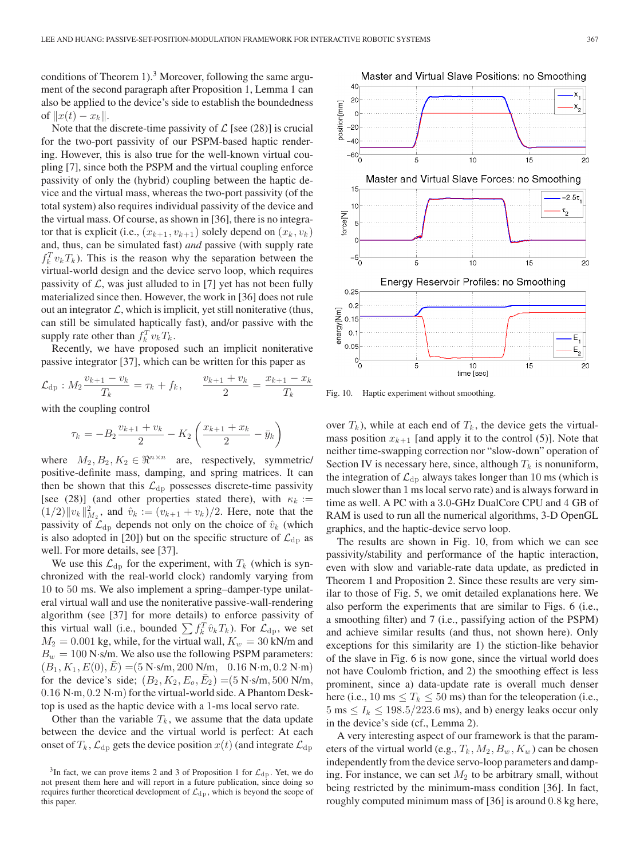conditions of Theorem 1).<sup>3</sup> Moreover, following the same argument of the second paragraph after Proposition 1, Lemma 1 can also be applied to the device's side to establish the boundedness of  $||x(t) - x_k||$ .

Note that the discrete-time passivity of  $\mathcal{L}$  [see (28)] is crucial for the two-port passivity of our PSPM-based haptic rendering. However, this is also true for the well-known virtual coupling [7], since both the PSPM and the virtual coupling enforce passivity of only the (hybrid) coupling between the haptic device and the virtual mass, whereas the two-port passivity (of the total system) also requires individual passivity of the device and the virtual mass. Of course, as shown in [36], there is no integrator that is explicit (i.e.,  $(x_{k+1}, v_{k+1})$  solely depend on  $(x_k, v_k)$ and, thus, can be simulated fast) *and* passive (with supply rate  $f_k^T v_k T_k$ ). This is the reason why the separation between the virtual-world design and the device servo loop, which requires passivity of  $\mathcal{L}$ , was just alluded to in [7] yet has not been fully materialized since then. However, the work in [36] does not rule out an integrator  $\mathcal{L}$ , which is implicit, yet still noniterative (thus, can still be simulated haptically fast), and/or passive with the supply rate other than  $f_k^T v_k T_k$ .

Recently, we have proposed such an implicit noniterative passive integrator [37], which can be written for this paper as

$$
\mathcal{L}_{dp} : M_2 \frac{v_{k+1} - v_k}{T_k} = \tau_k + f_k, \qquad \frac{v_{k+1} + v_k}{2} = \frac{x_{k+1} - x_k}{T_k}
$$

with the coupling control

$$
\tau_k = -B_2 \frac{v_{k+1} + v_k}{2} - K_2 \left( \frac{x_{k+1} + x_k}{2} - \bar{y}_k \right)
$$

where  $M_2, B_2, K_2 \in \mathbb{R}^{n \times n}$  are, respectively, symmetric/ positive-definite mass, damping, and spring matrices. It can then be shown that this  $\mathcal{L}_{dp}$  possesses discrete-time passivity [see (28)] (and other properties stated there), with  $\kappa_k :=$  $(1/2) \|v_k\|_{M_2}^2$ , and  $\hat{v}_k := (v_{k+1} + v_k)/2$ . Here, note that the passivity of  $\mathcal{L}_{dp}$  depends not only on the choice of  $\hat{v}_k$  (which is also adopted in [20]) but on the specific structure of  $\mathcal{L}_{dp}$  as well. For more details, see [37].

We use this  $\mathcal{L}_{dp}$  for the experiment, with  $T_k$  (which is synchronized with the real-world clock) randomly varying from 10 to 50 ms. We also implement a spring–damper-type unilateral virtual wall and use the noniterative passive-wall-rendering algorithm (see [37] for more details) to enforce passivity of this virtual wall (i.e., bounded  $\sum f_k^T \hat{v}_k T_k$ ). For  $\mathcal{L}_{dp}$ , we set  $M_2 = 0.001$  kg, while, for the virtual wall,  $K_w = 30$  kN/m and  $B_w = 100$  N·s/m. We also use the following PSPM parameters:  $(B_1, K_1, E(0), \bar{E}) = (5 \text{ N} \cdot \text{s/m}, 200 \text{ N/m}, 0.16 \text{ N} \cdot \text{m}, 0.2 \text{ N} \cdot \text{m})$ for the device's side;  $(B_2, K_2, E_0, \bar{E}_2) = (5 \text{ N} \cdot \text{s/m}, 500 \text{ N/m},$  $0.16$  N·m,  $0.2$  N·m) for the virtual-world side. A Phantom Desktop is used as the haptic device with a 1-ms local servo rate.

Other than the variable  $T_k$ , we assume that the data update between the device and the virtual world is perfect: At each onset of  $T_k$ ,  $\mathcal{L}_{dp}$  gets the device position  $x(t)$  (and integrate  $\mathcal{L}_{dp}$ 



Fig. 10. Haptic experiment without smoothing.

over  $T_k$ ), while at each end of  $T_k$ , the device gets the virtualmass position  $x_{k+1}$  [and apply it to the control (5)]. Note that neither time-swapping correction nor "slow-down" operation of Section IV is necessary here, since, although  $T_k$  is nonuniform, the integration of  $\mathcal{L}_{dp}$  always takes longer than 10 ms (which is much slower than 1 ms local servo rate) and is always forward in time as well. A PC with a 3.0-GHz DualCore CPU and 4 GB of RAM is used to run all the numerical algorithms, 3-D OpenGL graphics, and the haptic-device servo loop.

The results are shown in Fig. 10, from which we can see passivity/stability and performance of the haptic interaction, even with slow and variable-rate data update, as predicted in Theorem 1 and Proposition 2. Since these results are very similar to those of Fig. 5, we omit detailed explanations here. We also perform the experiments that are similar to Figs. 6 (i.e., a smoothing filter) and 7 (i.e., passifying action of the PSPM) and achieve similar results (and thus, not shown here). Only exceptions for this similarity are 1) the stiction-like behavior of the slave in Fig. 6 is now gone, since the virtual world does not have Coulomb friction, and 2) the smoothing effect is less prominent, since a) data-update rate is overall much denser here (i.e., 10 ms  $\leq T_k \leq 50$  ms) than for the teleoperation (i.e.,  $5 \text{ ms} \le I_k \le 198.5/223.6 \text{ ms}$ , and b) energy leaks occur only in the device's side (cf., Lemma 2).

A very interesting aspect of our framework is that the parameters of the virtual world (e.g.,  $T_k$ ,  $M_2$ ,  $B_w$ ,  $K_w$ ) can be chosen independently from the device servo-loop parameters and damping. For instance, we can set  $M_2$  to be arbitrary small, without being restricted by the minimum-mass condition [36]. In fact, roughly computed minimum mass of [36] is around 0.8 kg here,

<sup>&</sup>lt;sup>3</sup>In fact, we can prove items 2 and 3 of Proposition 1 for  $\mathcal{L}_{dp}$ . Yet, we do not present them here and will report in a future publication, since doing so requires further theoretical development of  $\mathcal{L}_{dp}$ , which is beyond the scope of this paper.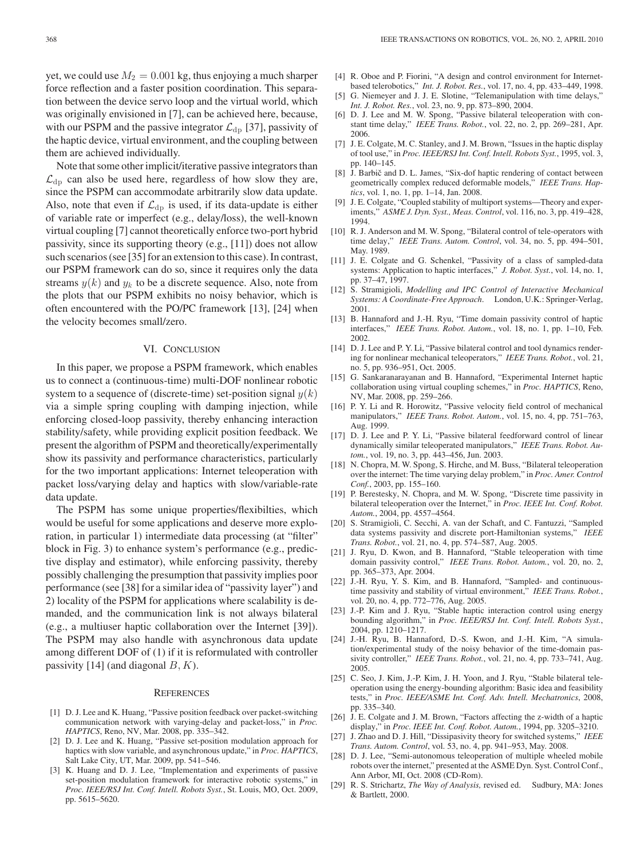yet, we could use  $M_2 = 0.001$  kg, thus enjoying a much sharper force reflection and a faster position coordination. This separation between the device servo loop and the virtual world, which was originally envisioned in [7], can be achieved here, because, with our PSPM and the passive integrator  $\mathcal{L}_{dp}$  [37], passivity of the haptic device, virtual environment, and the coupling between them are achieved individually.

Note that some other implicit/iterative passive integrators than  $\mathcal{L}_{dp}$  can also be used here, regardless of how slow they are, since the PSPM can accommodate arbitrarily slow data update. Also, note that even if  $\mathcal{L}_{dp}$  is used, if its data-update is either of variable rate or imperfect (e.g., delay/loss), the well-known virtual coupling [7] cannot theoretically enforce two-port hybrid passivity, since its supporting theory (e.g., [11]) does not allow such scenarios (see [35] for an extension to this case). In contrast, our PSPM framework can do so, since it requires only the data streams  $y(k)$  and  $y_k$  to be a discrete sequence. Also, note from the plots that our PSPM exhibits no noisy behavior, which is often encountered with the PO/PC framework [13], [24] when the velocity becomes small/zero.

## VI. CONCLUSION

In this paper, we propose a PSPM framework, which enables us to connect a (continuous-time) multi-DOF nonlinear robotic system to a sequence of (discrete-time) set-position signal  $y(k)$ via a simple spring coupling with damping injection, while enforcing closed-loop passivity, thereby enhancing interaction stability/safety, while providing explicit position feedback. We present the algorithm of PSPM and theoretically/experimentally show its passivity and performance characteristics, particularly for the two important applications: Internet teleoperation with packet loss/varying delay and haptics with slow/variable-rate data update.

The PSPM has some unique properties/flexibilties, which would be useful for some applications and deserve more exploration, in particular 1) intermediate data processing (at "filter" block in Fig. 3) to enhance system's performance (e.g., predictive display and estimator), while enforcing passivity, thereby possibly challenging the presumption that passivity implies poor performance (see [38] for a similar idea of "passivity layer") and 2) locality of the PSPM for applications where scalability is demanded, and the communication link is not always bilateral (e.g., a multiuser haptic collaboration over the Internet [39]). The PSPM may also handle with asynchronous data update among different DOF of (1) if it is reformulated with controller passivity [14] (and diagonal  $B, K$ ).

#### **REFERENCES**

- [1] D. J. Lee and K. Huang, "Passive position feedback over packet-switching communication network with varying-delay and packet-loss," in *Proc. HAPTICS*, Reno, NV, Mar. 2008, pp. 335–342.
- [2] D. J. Lee and K. Huang, "Passive set-position modulation approach for haptics with slow variable, and asynchronous update," in *Proc. HAPTICS*, Salt Lake City, UT, Mar. 2009, pp. 541–546.
- [3] K. Huang and D. J. Lee, "Implementation and experiments of passive set-position modulation framework for interactive robotic systems," in *Proc. IEEE/RSJ Int. Conf. Intell. Robots Syst.*, St. Louis, MO, Oct. 2009, pp. 5615–5620.
- [4] R. Oboe and P. Fiorini, "A design and control environment for Internetbased telerobotics," *Int. J. Robot. Res.*, vol. 17, no. 4, pp. 433–449, 1998.
- [5] G. Niemeyer and J. J. E. Slotine, "Telemanipulation with time delays," *Int. J. Robot. Res.*, vol. 23, no. 9, pp. 873–890, 2004.
- [6] D. J. Lee and M. W. Spong, "Passive bilateral teleoperation with constant time delay," *IEEE Trans. Robot.*, vol. 22, no. 2, pp. 269–281, Apr. 2006.
- [7] J. E. Colgate, M. C. Stanley, and J. M. Brown, "Issues in the haptic display of tool use," in *Proc. IEEE/RSJ Int. Conf. Intell. Robots Syst.*, 1995, vol. 3, pp. 140–145.
- [8] J. Barbič and D. L. James, "Six-dof haptic rendering of contact between geometrically complex reduced deformable models," *IEEE Trans. Haptics*, vol. 1, no. 1, pp. 1–14, Jan. 2008.
- [9] J. E. Colgate, "Coupled stability of multiport systems—Theory and experiments," *ASME J. Dyn. Syst., Meas. Control*, vol. 116, no. 3, pp. 419–428, 1994.
- [10] R. J. Anderson and M. W. Spong, "Bilateral control of tele-operators with time delay," *IEEE Trans. Autom. Control*, vol. 34, no. 5, pp. 494–501, May. 1989.
- [11] J. E. Colgate and G. Schenkel, "Passivity of a class of sampled-data systems: Application to haptic interfaces," *J. Robot. Syst.*, vol. 14, no. 1, pp. 37–47, 1997.
- [12] S. Stramigioli, *Modelling and IPC Control of Interactive Mechanical Systems: A Coordinate-Free Approach*. London, U.K.: Springer-Verlag, 2001.
- [13] B. Hannaford and J.-H. Ryu, "Time domain passivity control of haptic interfaces," *IEEE Trans. Robot. Autom.*, vol. 18, no. 1, pp. 1–10, Feb. 2002.
- [14] D. J. Lee and P. Y. Li, "Passive bilateral control and tool dynamics rendering for nonlinear mechanical teleoperators," *IEEE Trans. Robot.*, vol. 21, no. 5, pp. 936–951, Oct. 2005.
- [15] G. Sankaranarayanan and B. Hannaford, "Experimental Internet haptic collaboration using virtual coupling schemes," in *Proc. HAPTICS*, Reno, NV, Mar. 2008, pp. 259–266.
- [16] P. Y. Li and R. Horowitz, "Passive velocity field control of mechanical manipulators," *IEEE Trans. Robot. Autom.*, vol. 15, no. 4, pp. 751–763, Aug. 1999.
- [17] D. J. Lee and P. Y. Li, "Passive bilateral feedforward control of linear dynamically similar teleoperated manipulators," *IEEE Trans. Robot. Autom.*, vol. 19, no. 3, pp. 443–456, Jun. 2003.
- [18] N. Chopra, M. W. Spong, S. Hirche, and M. Buss, "Bilateral teleoperation over the internet: The time varying delay problem," in *Proc. Amer. Control Conf.*, 2003, pp. 155–160.
- [19] P. Berestesky, N. Chopra, and M. W. Spong, "Discrete time passivity in bilateral teleoperation over the Internet," in *Proc. IEEE Int. Conf. Robot. Autom.*, 2004, pp. 4557–4564.
- [20] S. Stramigioli, C. Secchi, A. van der Schaft, and C. Fantuzzi, "Sampled data systems passivity and discrete port-Hamiltonian systems," *IEEE Trans. Robot.*, vol. 21, no. 4, pp. 574–587, Aug. 2005.
- [21] J. Ryu, D. Kwon, and B. Hannaford, "Stable teleoperation with time domain passivity control," *IEEE Trans. Robot. Autom.*, vol. 20, no. 2, pp. 365–373, Apr. 2004.
- [22] J.-H. Ryu, Y. S. Kim, and B. Hannaford, "Sampled- and continuoustime passivity and stability of virtual environment," *IEEE Trans. Robot.*, vol. 20, no. 4, pp. 772–776, Aug. 2005.
- [23] J.-P. Kim and J. Ryu, "Stable haptic interaction control using energy bounding algorithm," in *Proc. IEEE/RSJ Int. Conf. Intell. Robots Syst.*, 2004, pp. 1210–1217.
- [24] J.-H. Ryu, B. Hannaford, D.-S. Kwon, and J.-H. Kim, "A simulation/experimental study of the noisy behavior of the time-domain passivity controller," *IEEE Trans. Robot.*, vol. 21, no. 4, pp. 733–741, Aug. 2005.
- [25] C. Seo, J. Kim, J.-P. Kim, J. H. Yoon, and J. Ryu, "Stable bilateral teleoperation using the energy-bounding algorithm: Basic idea and feasibility tests," in *Proc. IEEE/ASME Int. Conf. Adv. Intell. Mechatronics*, 2008, pp. 335–340.
- [26] J. E. Colgate and J. M. Brown, "Factors affecting the z-width of a haptic display," in *Proc. IEEE Int. Conf. Robot. Autom.*, 1994, pp. 3205–3210.
- [27] J. Zhao and D. J. Hill, "Dissipasivity theory for switched systems," *IEEE Trans. Autom. Control*, vol. 53, no. 4, pp. 941–953, May. 2008.
- [28] D. J. Lee, "Semi-autonomous teleoperation of multiple wheeled mobile robots over the internet," presented at the ASME Dyn. Syst. Control Conf., Ann Arbor, MI, Oct. 2008 (CD-Rom).
- [29] R. S. Strichartz, *The Way of Analysis,* revised ed. Sudbury, MA: Jones & Bartlett, 2000.